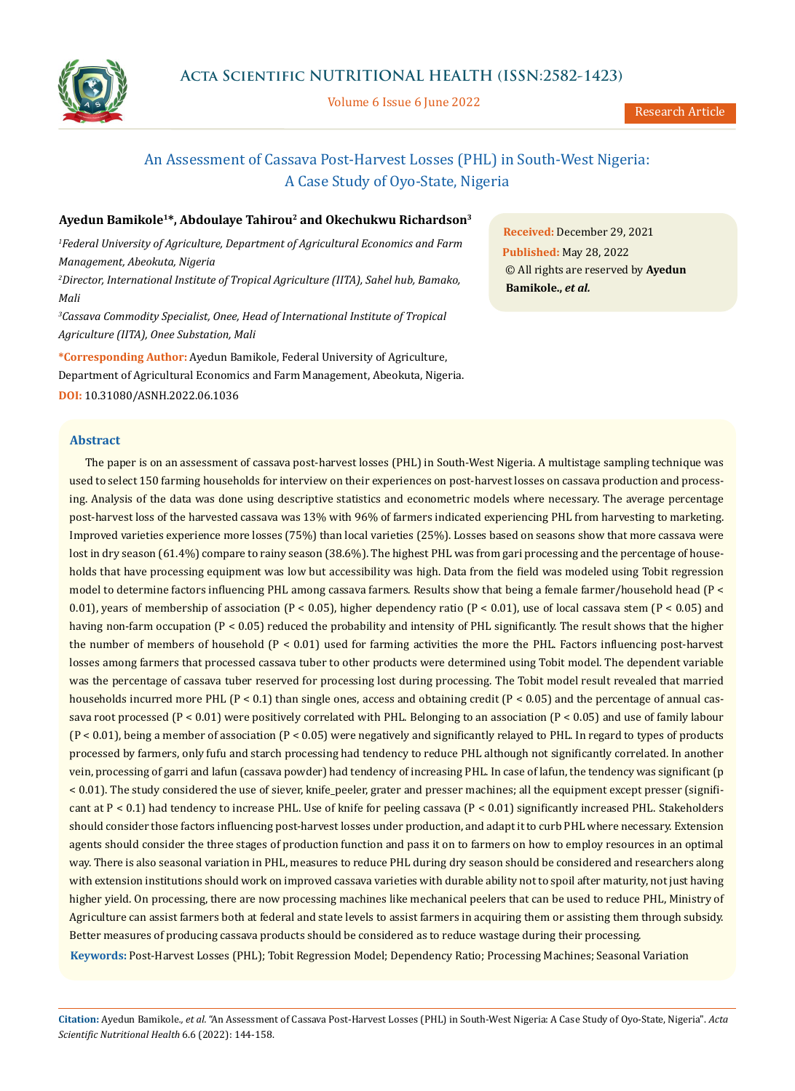

Volume 6 Issue 6 June 2022

# An Assessment of Cassava Post-Harvest Losses (PHL) in South-West Nigeria: A Case Study of Oyo-State, Nigeria

## **Ayedun Bamikole1\*, Abdoulaye Tahirou2 and Okechukwu Richardson3**

*1 Federal University of Agriculture, Department of Agricultural Economics and Farm Management, Abeokuta, Nigeria 2 Director, International Institute of Tropical Agriculture (IITA), Sahel hub, Bamako, Mali 3 Cassava Commodity Specialist, Onee, Head of International Institute of Tropical Agriculture (IITA), Onee Substation, Mali*

**\*Corresponding Author:** Ayedun Bamikole, Federal University of Agriculture, Department of Agricultural Economics and Farm Management, Abeokuta, Nigeria. **DOI:** [10.31080/ASNH.2022.06.1036](https://actascientific.com/ASNH/pdf/ASNH-06-1036.pdf)

**Abstract**

**Received:** December 29, 2021 **Published:** May 28, 2022 © All rights are reserved by **Ayedun** 

**Bamikole.,** *et al.*

The paper is on an assessment of cassava post-harvest losses (PHL) in South-West Nigeria. A multistage sampling technique was used to select 150 farming households for interview on their experiences on post-harvest losses on cassava production and processing. Analysis of the data was done using descriptive statistics and econometric models where necessary. The average percentage post-harvest loss of the harvested cassava was 13% with 96% of farmers indicated experiencing PHL from harvesting to marketing. Improved varieties experience more losses (75%) than local varieties (25%). Losses based on seasons show that more cassava were lost in dry season (61.4%) compare to rainy season (38.6%). The highest PHL was from gari processing and the percentage of households that have processing equipment was low but accessibility was high. Data from the field was modeled using Tobit regression model to determine factors influencing PHL among cassava farmers. Results show that being a female farmer/household head (P < 0.01), years of membership of association (P < 0.05), higher dependency ratio (P < 0.01), use of local cassava stem (P < 0.05) and having non-farm occupation (P < 0.05) reduced the probability and intensity of PHL significantly. The result shows that the higher the number of members of household (P < 0.01) used for farming activities the more the PHL. Factors influencing post-harvest losses among farmers that processed cassava tuber to other products were determined using Tobit model. The dependent variable was the percentage of cassava tuber reserved for processing lost during processing. The Tobit model result revealed that married households incurred more PHL (P < 0.1) than single ones, access and obtaining credit (P < 0.05) and the percentage of annual cassava root processed ( $P < 0.01$ ) were positively correlated with PHL. Belonging to an association ( $P < 0.05$ ) and use of family labour (P < 0.01), being a member of association (P < 0.05) were negatively and significantly relayed to PHL. In regard to types of products processed by farmers, only fufu and starch processing had tendency to reduce PHL although not significantly correlated. In another vein, processing of garri and lafun (cassava powder) had tendency of increasing PHL. In case of lafun, the tendency was significant (p < 0.01). The study considered the use of siever, knife\_peeler, grater and presser machines; all the equipment except presser (significant at P < 0.1) had tendency to increase PHL. Use of knife for peeling cassava (P < 0.01) significantly increased PHL. Stakeholders should consider those factors influencing post-harvest losses under production, and adapt it to curb PHL where necessary. Extension agents should consider the three stages of production function and pass it on to farmers on how to employ resources in an optimal way. There is also seasonal variation in PHL, measures to reduce PHL during dry season should be considered and researchers along with extension institutions should work on improved cassava varieties with durable ability not to spoil after maturity, not just having higher yield. On processing, there are now processing machines like mechanical peelers that can be used to reduce PHL, Ministry of Agriculture can assist farmers both at federal and state levels to assist farmers in acquiring them or assisting them through subsidy. Better measures of producing cassava products should be considered as to reduce wastage during their processing. **Keywords:** Post-Harvest Losses (PHL); Tobit Regression Model; Dependency Ratio; Processing Machines; Seasonal Variation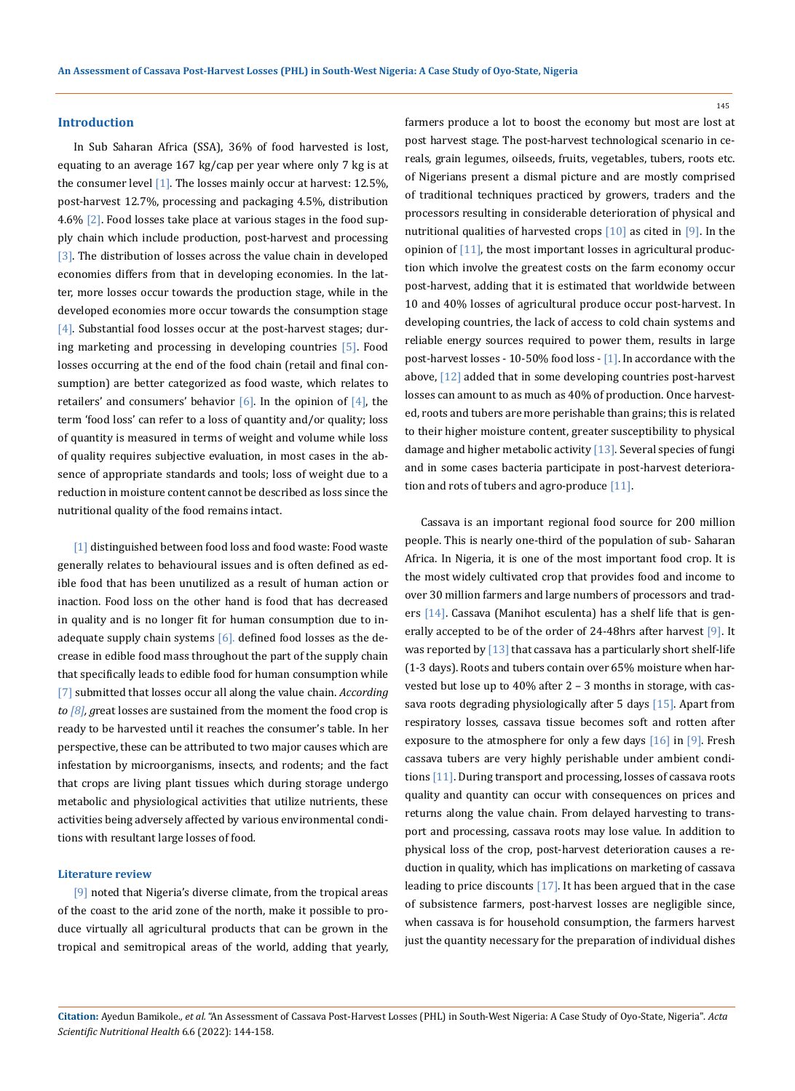#### **Introduction**

In Sub Saharan Africa (SSA), 36% of food harvested is lost, equating to an average 167 kg/cap per year where only 7 kg is at the consumer level [1]. The losses mainly occur at harvest: 12.5%, post-harvest 12.7%, processing and packaging 4.5%, distribution 4.6%  $[2]$ . Food losses take place at various stages in the food supply chain which include production, post-harvest and processing [3]. The distribution of losses across the value chain in developed economies differs from that in developing economies. In the latter, more losses occur towards the production stage, while in the developed economies more occur towards the consumption stage [4]. Substantial food losses occur at the post-harvest stages; during marketing and processing in developing countries [5]. Food losses occurring at the end of the food chain (retail and final consumption) are better categorized as food waste, which relates to retailers' and consumers' behavior  $[6]$ . In the opinion of  $[4]$ , the term 'food loss' can refer to a loss of quantity and/or quality; loss of quantity is measured in terms of weight and volume while loss of quality requires subjective evaluation, in most cases in the absence of appropriate standards and tools; loss of weight due to a reduction in moisture content cannot be described as loss since the nutritional quality of the food remains intact.

[1] distinguished between food loss and food waste: Food waste generally relates to behavioural issues and is often defined as edible food that has been unutilized as a result of human action or inaction. Food loss on the other hand is food that has decreased in quality and is no longer fit for human consumption due to inadequate supply chain systems  $[6]$ . defined food losses as the decrease in edible food mass throughout the part of the supply chain that specifically leads to edible food for human consumption while [7] submitted that losses occur all along the value chain. *According to [8], g*reat losses are sustained from the moment the food crop is ready to be harvested until it reaches the consumer's table. In her perspective, these can be attributed to two major causes which are infestation by microorganisms, insects, and rodents; and the fact that crops are living plant tissues which during storage undergo metabolic and physiological activities that utilize nutrients, these activities being adversely affected by various environmental conditions with resultant large losses of food*.* 

#### **Literature review**

[9] noted that Nigeria's diverse climate, from the tropical areas of the coast to the arid zone of the north, make it possible to produce virtually all agricultural products that can be grown in the tropical and semitropical areas of the world, adding that yearly, farmers produce a lot to boost the economy but most are lost at post harvest stage. The post-harvest technological scenario in cereals, grain legumes, oilseeds, fruits, vegetables, tubers, roots etc. of Nigerians present a dismal picture and are mostly comprised of traditional techniques practiced by growers, traders and the processors resulting in considerable deterioration of physical and nutritional qualities of harvested crops [10] as cited in [9]. In the opinion of [11], the most important losses in agricultural production which involve the greatest costs on the farm economy occur post-harvest, adding that it is estimated that worldwide between 10 and 40% losses of agricultural produce occur post-harvest. In developing countries, the lack of access to cold chain systems and reliable energy sources required to power them, results in large post-harvest losses - 10-50% food loss - [1]. In accordance with the above, [12] added that in some developing countries post-harvest losses can amount to as much as 40% of production. Once harvested, roots and tubers are more perishable than grains; this is related to their higher moisture content, greater susceptibility to physical damage and higher metabolic activity [13]. Several species of fungi and in some cases bacteria participate in post-harvest deterioration and rots of tubers and agro-produce [11].

Cassava is an important regional food source for 200 million people. This is nearly one-third of the population of sub- Saharan Africa. In Nigeria, it is one of the most important food crop. It is the most widely cultivated crop that provides food and income to over 30 million farmers and large numbers of processors and traders [14]. Cassava (Manihot esculenta) has a shelf life that is generally accepted to be of the order of 24-48hrs after harvest [9]. It was reported by  $[13]$  that cassava has a particularly short shelf-life (1-3 days). Roots and tubers contain over 65% moisture when harvested but lose up to 40% after 2 – 3 months in storage, with cassava roots degrading physiologically after 5 days [15]. Apart from respiratory losses, cassava tissue becomes soft and rotten after exposure to the atmosphere for only a few days  $[16]$  in  $[9]$ . Fresh cassava tubers are very highly perishable under ambient conditions [11]. During transport and processing, losses of cassava roots quality and quantity can occur with consequences on prices and returns along the value chain. From delayed harvesting to transport and processing, cassava roots may lose value. In addition to physical loss of the crop, post-harvest deterioration causes a reduction in quality, which has implications on marketing of cassava leading to price discounts [17]. It has been argued that in the case of subsistence farmers, post-harvest losses are negligible since, when cassava is for household consumption, the farmers harvest just the quantity necessary for the preparation of individual dishes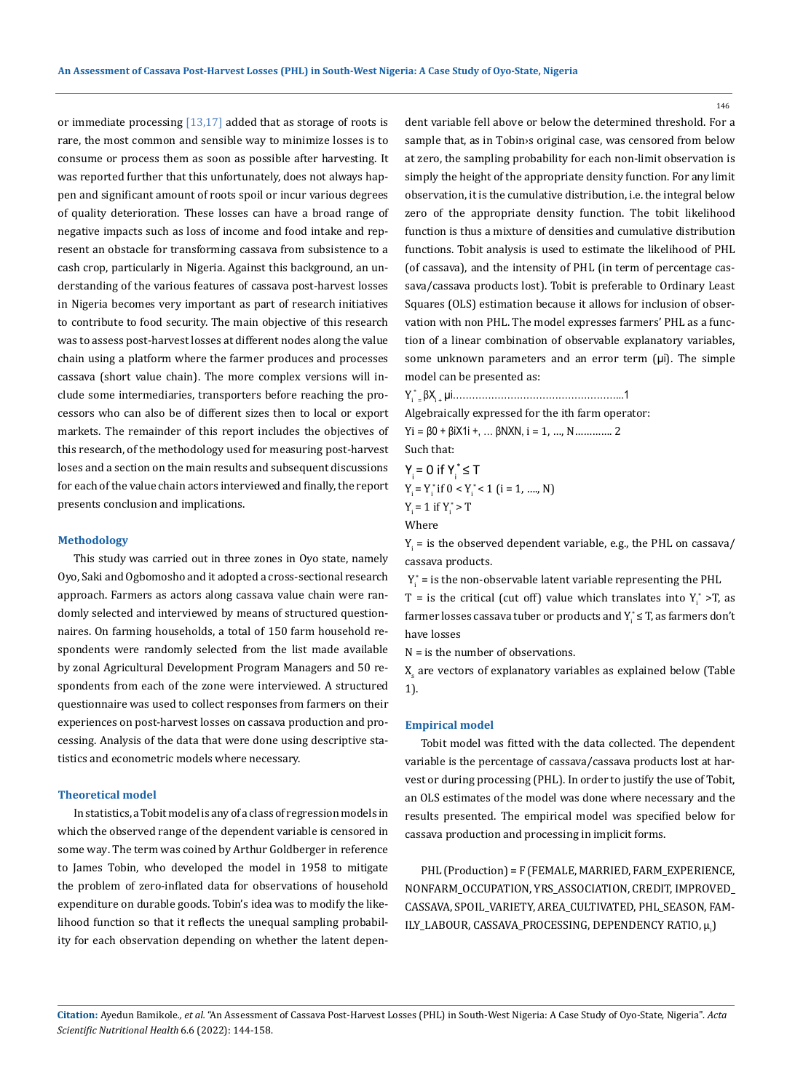or immediate processing [13,17] added that as storage of roots is rare, the most common and sensible way to minimize losses is to consume or process them as soon as possible after harvesting. It was reported further that this unfortunately, does not always happen and significant amount of roots spoil or incur various degrees of quality deterioration. These losses can have a broad range of negative impacts such as loss of income and food intake and represent an obstacle for transforming cassava from subsistence to a cash crop, particularly in Nigeria. Against this background, an understanding of the various features of cassava post-harvest losses in Nigeria becomes very important as part of research initiatives to contribute to food security. The main objective of this research was to assess post-harvest losses at different nodes along the value chain using a platform where the farmer produces and processes cassava (short value chain). The more complex versions will include some intermediaries, transporters before reaching the processors who can also be of different sizes then to local or export markets. The remainder of this report includes the objectives of this research, of the methodology used for measuring post-harvest loses and a section on the main results and subsequent discussions for each of the value chain actors interviewed and finally, the report presents conclusion and implications.

#### **Methodology**

This study was carried out in three zones in Oyo state, namely Oyo, Saki and Ogbomosho and it adopted a cross-sectional research approach. Farmers as actors along cassava value chain were randomly selected and interviewed by means of structured questionnaires. On farming households, a total of 150 farm household respondents were randomly selected from the list made available by zonal Agricultural Development Program Managers and 50 respondents from each of the zone were interviewed. A structured questionnaire was used to collect responses from farmers on their experiences on post-harvest losses on cassava production and processing. Analysis of the data that were done using descriptive statistics and econometric models where necessary.

### **Theoretical model**

In statistics, aTobit modelis any of a class of [regression models](https://en.wikipedia.org/wiki/Regression_analysis) in which the observed range of the [dependent variable](https://en.wikipedia.org/wiki/Dependent_and_independent_variables) is [censored](https://en.wikipedia.org/wiki/Censoring_(statistics)) in some way. The term was coined by [Arthur Goldberger](https://en.wikipedia.org/wiki/Arthur_Goldberger) in reference to [James Tobin](https://en.wikipedia.org/wiki/James_Tobin), who developed the model in 1958 to mitigate the problem of [zero-inflated](https://en.wikipedia.org/wiki/Zero-inflated_model) data for observations of household expenditure on [durable goods.](https://en.wikipedia.org/wiki/Durable_good) Tobin's idea was to modify the [like](https://en.wikipedia.org/wiki/Likelihood_function)[lihood function](https://en.wikipedia.org/wiki/Likelihood_function) so that it reflects the unequal [sampling probabil](https://en.wikipedia.org/wiki/Sampling_probability)[ity](https://en.wikipedia.org/wiki/Sampling_probability) for each observation depending on whether the [latent depen-](https://en.wikipedia.org/wiki/Latent_variable) [dent variable](https://en.wikipedia.org/wiki/Latent_variable) fell above or below the determined threshold. For a sample that, as in Tobin›s original case, was censored from below at zero, the sampling probability for each non-limit observation is simply the height of the appropriate [density function](https://en.wikipedia.org/wiki/Density_function). For any limit observation, it is the cumulative distribution, i.e. the [integral](https://en.wikipedia.org/wiki/Integral) below zero of the appropriate density function. The tobit likelihood function is thus a mixture of densities and cumulative distribution functions. Tobit analysis is used to estimate the likelihood of PHL (of cassava), and the intensity of PHL (in term of percentage cassava/cassava products lost). Tobit is preferable to Ordinary Least Squares (OLS) estimation because it allows for inclusion of observation with non PHL. The model expresses farmers' PHL as a function of a linear combination of observable explanatory variables, some unknown parameters and an error term  $(\mu i)$ . The simple model can be presented as:

Yi \* = βXi + µi……………………………………………...1

Algebraically expressed for the ith farm operator:  $Yi = \beta 0 + \beta i X1i +$ , ...  $\beta N XN$ ,  $i = 1$ , ..., N ... ... 2

Such that:

 $Y_i = 0$  if  $Y_i^* \leq T$  $Y_i = Y_i^*$  if  $0 < Y_i^* < 1$  (i = 1, ...., N)  $Y_i = 1$  if  $Y_i^* > T$ Where

 $Y_i$  = is the observed dependent variable, e.g., the PHL on cassava/ cassava products.

 $Y_i^*$  = is the non-observable latent variable representing the PHL T = is the critical (cut off) value which translates into  $Y_i^* > T$ , as farmer losses cassava tuber or products and  $Y_i^*$   $\leq$  T, as farmers don't have losses

 $N =$  is the number of observations.

 $X_{\rm s}$  are vectors of explanatory variables as explained below (Table) 1).

#### **Empirical model**

Tobit model was fitted with the data collected. The dependent variable is the percentage of cassava/cassava products lost at harvest or during processing (PHL). In order to justify the use of Tobit, an OLS estimates of the model was done where necessary and the results presented. The empirical model was specified below for cassava production and processing in implicit forms.

PHL (Production) = F (FEMALE, MARRIED, FARM\_EXPERIENCE, NONFARM\_OCCUPATION, YRS\_ASSOCIATION, CREDIT, IMPROVED\_ CASSAVA, SPOIL\_VARIETY, AREA\_CULTIVATED, PHL\_SEASON, FAM-ILY\_LABOUR, CASSAVA\_PROCESSING, DEPENDENCY RATIO, μ<sub>i</sub>)

**Citation:** Ayedun Bamikole*., et al.* "An Assessment of Cassava Post-Harvest Losses (PHL) in South-West Nigeria: A Case Study of Oyo-State, Nigeria". *Acta Scientific Nutritional Health* 6.6 (2022): 144-158.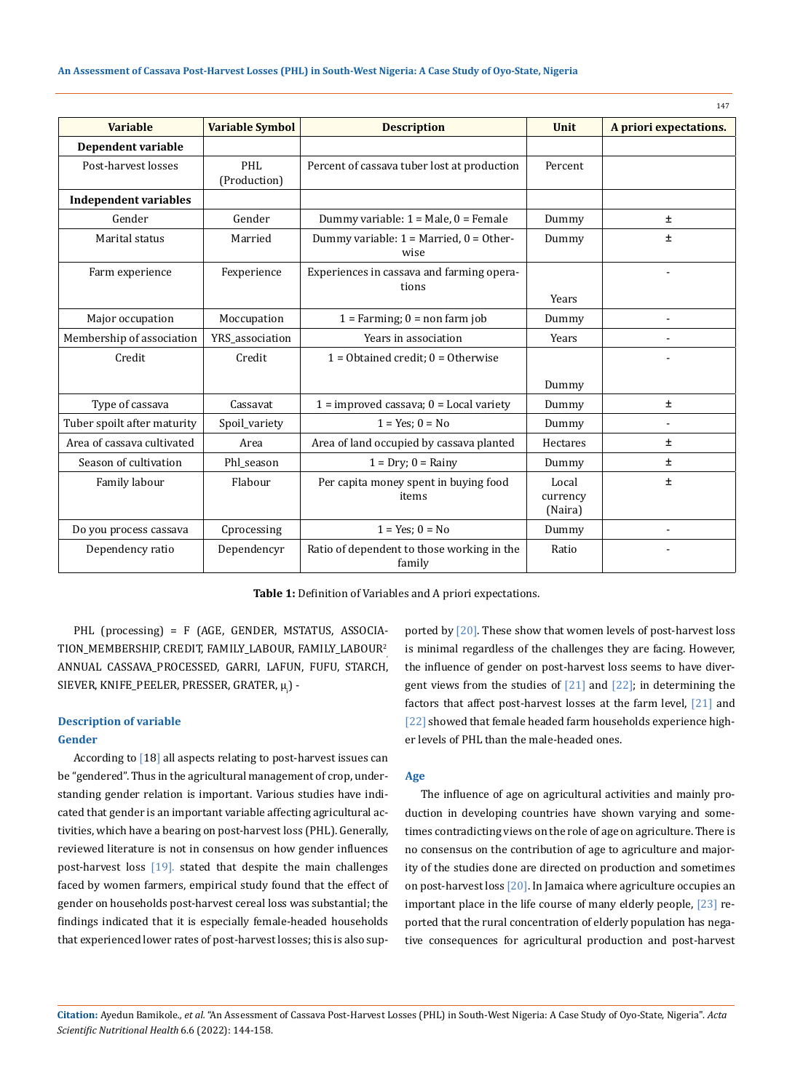| <b>Variable</b>              | <b>Variable Symbol</b>     | <b>Description</b>                                   | <b>Unit</b>                  | A priori expectations. |
|------------------------------|----------------------------|------------------------------------------------------|------------------------------|------------------------|
| Dependent variable           |                            |                                                      |                              |                        |
| Post-harvest losses          | <b>PHL</b><br>(Production) | Percent of cassava tuber lost at production          | Percent                      |                        |
| <b>Independent variables</b> |                            |                                                      |                              |                        |
| Gender                       | Gender                     | Dummy variable: $1 = Male$ , $0 = Female$            | Dummy                        | Ŧ                      |
| Marital status               | Married                    | Dummy variable: $1 =$ Married, $0 =$ Other-<br>wise  | Dummy                        | ±                      |
| Farm experience              | Fexperience                | Experiences in cassava and farming opera-<br>tions   | Years                        |                        |
| Major occupation             | Moccupation                | $1 =$ Farming; $0 =$ non farm job                    | Dummy                        |                        |
| Membership of association    | YRS_association            | Years in association                                 | Years                        |                        |
| Credit                       | Credit                     | $1 = 0$ btained credit; $0 = 0$ therwise             |                              |                        |
|                              |                            |                                                      | Dummy                        |                        |
| Type of cassava              | Cassavat                   | $1 =$ improved cassava; $0 =$ Local variety          | Dummy                        | Ŧ                      |
| Tuber spoilt after maturity  | Spoil_variety              | $1 = Yes$ ; $0 = No$                                 | Dummy                        |                        |
| Area of cassava cultivated   | Area                       | Area of land occupied by cassava planted             | Hectares                     | ±.                     |
| Season of cultivation        | Phl season                 | $1 = Dry$ ; $0 = Rainy$                              | Dummy                        | 土                      |
| Family labour                | Flabour                    | Per capita money spent in buying food<br>items       | Local<br>currency<br>(Naira) | ±.                     |
| Do you process cassava       | Cprocessing                | $1 = Yes; 0 = No$                                    | Dummy                        |                        |
| Dependency ratio             | Dependencyr                | Ratio of dependent to those working in the<br>family | Ratio                        |                        |

**Table 1:** Definition of Variables and A priori expectations.

PHL (processing) = F (AGE, GENDER, MSTATUS, ASSOCIA-TION\_MEMBERSHIP, CREDIT, FAMILY\_LABOUR, FAMILY\_LABOUR<sup>2</sup> , ANNUAL CASSAVA\_PROCESSED, GARRI, LAFUN, FUFU, STARCH,  ${\rm SIEVER}$ ,  ${\rm KNIE}$ \_PEELER, PRESSER, GRATER,  $\mu_{\rm i}$ ) -

#### **Description of variable**

#### **Gender**

According to [18] all aspects relating to post-harvest issues can be "gendered". Thus in the agricultural management of crop, understanding gender relation is important. Various studies have indicated that gender is an important variable affecting agricultural activities, which have a bearing on post-harvest loss (PHL). Generally, reviewed literature is not in consensus on how gender influences post-harvest loss [19]. stated that despite the main challenges faced by women farmers, empirical study found that the effect of gender on households post-harvest cereal loss was substantial; the findings indicated that it is especially female-headed households that experienced lower rates of post-harvest losses; this is also supported by [20]. These show that women levels of post-harvest loss is minimal regardless of the challenges they are facing. However, the influence of gender on post-harvest loss seems to have divergent views from the studies of [21] and [22]; in determining the factors that affect post-harvest losses at the farm level, [21] and [22] showed that female headed farm households experience higher levels of PHL than the male-headed ones.

147

#### **Age**

The influence of age on agricultural activities and mainly production in developing countries have shown varying and sometimes contradicting views on the role of age on agriculture. There is no consensus on the contribution of age to agriculture and majority of the studies done are directed on production and sometimes on post-harvest loss [20]. In Jamaica where agriculture occupies an important place in the life course of many elderly people, [23] reported that the rural concentration of elderly population has negative consequences for agricultural production and post-harvest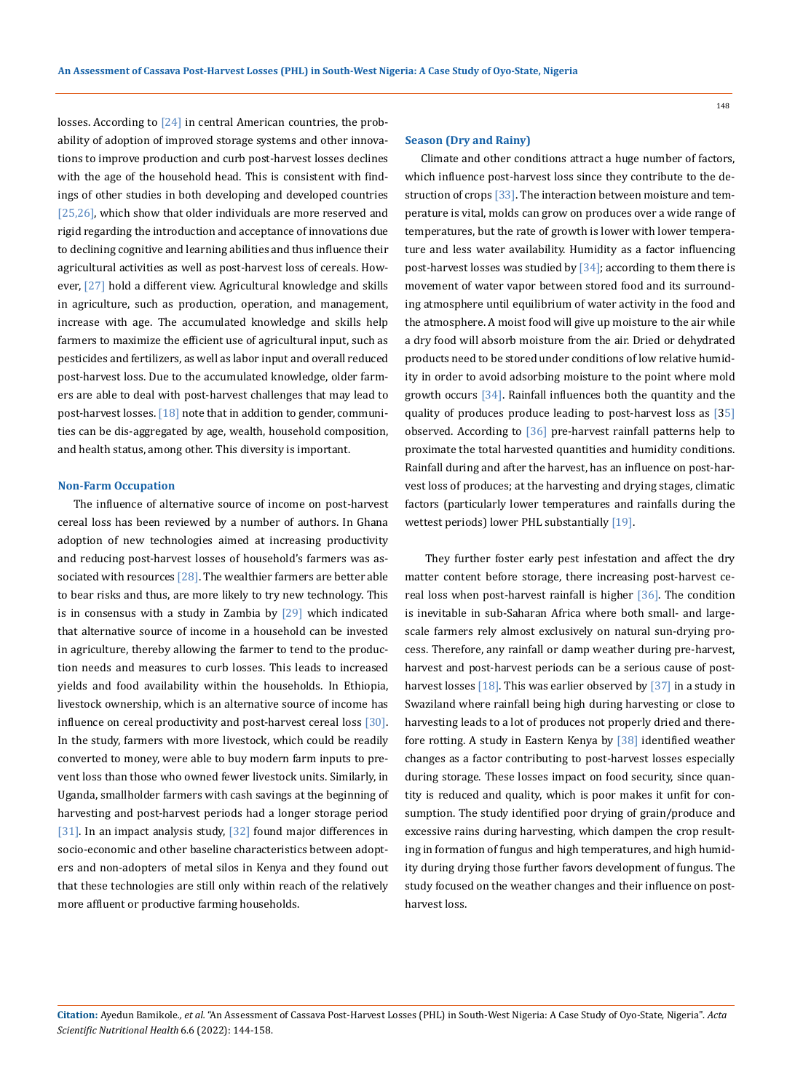losses. According to [24] in central American countries, the probability of adoption of improved storage systems and other innovations to improve production and curb post-harvest losses declines with the age of the household head. This is consistent with findings of other studies in both developing and developed countries [25,26], which show that older individuals are more reserved and rigid regarding the introduction and acceptance of innovations due to declining cognitive and learning abilities and thus influence their agricultural activities as well as post-harvest loss of cereals. However, [27] hold a different view. Agricultural knowledge and skills in agriculture, such as production, operation, and management, increase with age. The accumulated knowledge and skills help farmers to maximize the efficient use of agricultural input, such as pesticides and fertilizers, as well as labor input and overall reduced post-harvest loss. Due to the accumulated knowledge, older farmers are able to deal with post-harvest challenges that may lead to post-harvest losses. [18] note that in addition to gender, communities can be dis-aggregated by age, wealth, household composition, and health status, among other. This diversity is important.

#### **Non-Farm Occupation**

The influence of alternative source of income on post-harvest cereal loss has been reviewed by a number of authors. In Ghana adoption of new technologies aimed at increasing productivity and reducing post-harvest losses of household's farmers was associated with resources  $[28]$ . The wealthier farmers are better able to bear risks and thus, are more likely to try new technology. This is in consensus with a study in Zambia by  $[29]$  which indicated that alternative source of income in a household can be invested in agriculture, thereby allowing the farmer to tend to the production needs and measures to curb losses. This leads to increased yields and food availability within the households. In Ethiopia, livestock ownership, which is an alternative source of income has influence on cereal productivity and post-harvest cereal loss  $[30]$ . In the study, farmers with more livestock, which could be readily converted to money, were able to buy modern farm inputs to prevent loss than those who owned fewer livestock units. Similarly, in Uganda, smallholder farmers with cash savings at the beginning of harvesting and post-harvest periods had a longer storage period [31]. In an impact analysis study, [32] found major differences in socio-economic and other baseline characteristics between adopters and non-adopters of metal silos in Kenya and they found out that these technologies are still only within reach of the relatively more affluent or productive farming households.

### **Season (Dry and Rainy)**

Climate and other conditions attract a huge number of factors, which influence post-harvest loss since they contribute to the destruction of crops [33]. The interaction between moisture and temperature is vital, molds can grow on produces over a wide range of temperatures, but the rate of growth is lower with lower temperature and less water availability. Humidity as a factor influencing post-harvest losses was studied by  $[34]$ ; according to them there is movement of water vapor between stored food and its surrounding atmosphere until equilibrium of water activity in the food and the atmosphere. A moist food will give up moisture to the air while a dry food will absorb moisture from the air. Dried or dehydrated products need to be stored under conditions of low relative humidity in order to avoid adsorbing moisture to the point where mold growth occurs [34]. Rainfall influences both the quantity and the quality of produces produce leading to post-harvest loss as [35] observed. According to [36] pre-harvest rainfall patterns help to proximate the total harvested quantities and humidity conditions. Rainfall during and after the harvest, has an influence on post-harvest loss of produces; at the harvesting and drying stages, climatic factors (particularly lower temperatures and rainfalls during the wettest periods) lower PHL substantially [19].

 They further foster early pest infestation and affect the dry matter content before storage, there increasing post-harvest cereal loss when post-harvest rainfall is higher [36]. The condition is inevitable in sub-Saharan Africa where both small- and largescale farmers rely almost exclusively on natural sun-drying process. Therefore, any rainfall or damp weather during pre-harvest, harvest and post-harvest periods can be a serious cause of postharvest losses  $[18]$ . This was earlier observed by  $[37]$  in a study in Swaziland where rainfall being high during harvesting or close to harvesting leads to a lot of produces not properly dried and therefore rotting. A study in Eastern Kenya by [38] identified weather changes as a factor contributing to post-harvest losses especially during storage. These losses impact on food security, since quantity is reduced and quality, which is poor makes it unfit for consumption. The study identified poor drying of grain/produce and excessive rains during harvesting, which dampen the crop resulting in formation of fungus and high temperatures, and high humidity during drying those further favors development of fungus. The study focused on the weather changes and their influence on postharvest loss.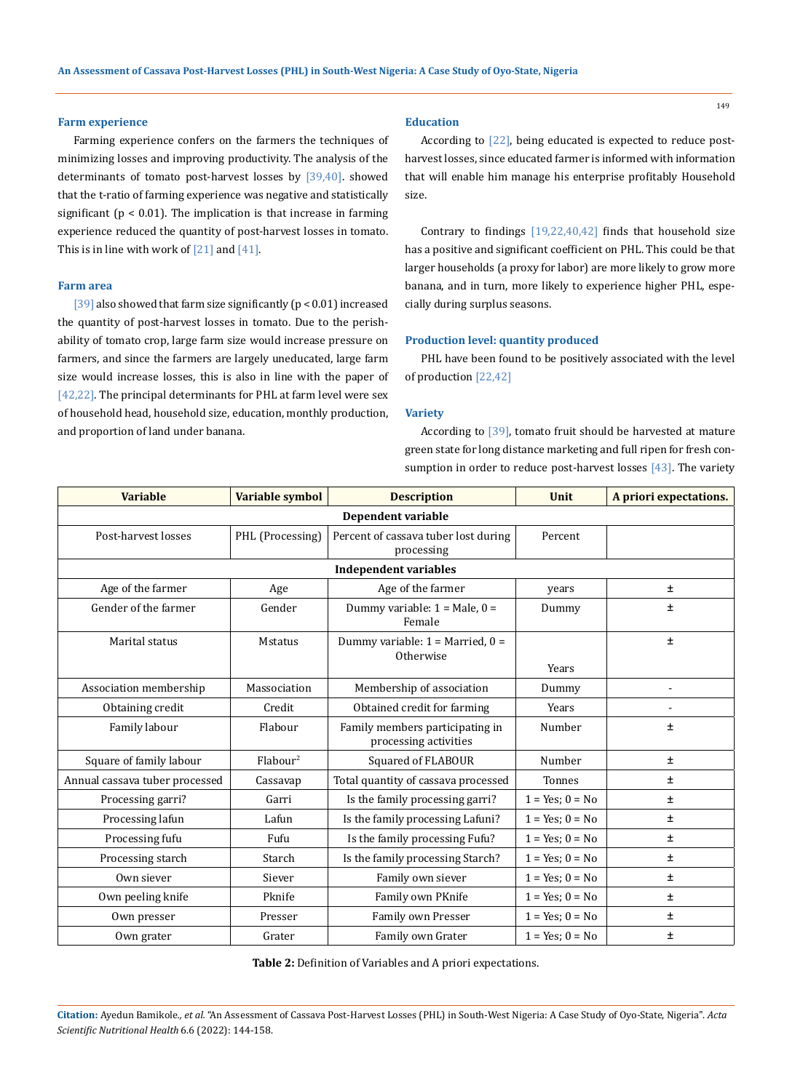#### **Farm experience**

Farming experience confers on the farmers the techniques of minimizing losses and improving productivity. The analysis of the determinants of tomato post-harvest losses by [39,40]. showed that the t-ratio of farming experience was negative and statistically significant ( $p < 0.01$ ). The implication is that increase in farming experience reduced the quantity of post-harvest losses in tomato. This is in line with work of  $[21]$  and  $[41]$ .

#### **Farm area**

[39] also showed that farm size significantly ( $p < 0.01$ ) increased the quantity of post-harvest losses in tomato. Due to the perishability of tomato crop, large farm size would increase pressure on farmers, and since the farmers are largely uneducated, large farm size would increase losses, this is also in line with the paper of [42,22]. The principal determinants for PHL at farm level were sex of household head, household size, education, monthly production, and proportion of land under banana.

### **Education**

According to [22], being educated is expected to reduce postharvest losses, since educated farmer is informed with information that will enable him manage his enterprise profitably Household size.

Contrary to findings  $[19,22,40,42]$  finds that household size has a positive and significant coefficient on PHL. This could be that larger households (a proxy for labor) are more likely to grow more banana, and in turn, more likely to experience higher PHL, especially during surplus seasons.

### **Production level: quantity produced**

PHL have been found to be positively associated with the level of production [22,42]

#### **Variety**

According to [39], tomato fruit should be harvested at mature green state for long distance marketing and full ripen for fresh consumption in order to reduce post-harvest losses [43]. The variety

| <b>Variable</b>                | Variable symbol         | <b>Description</b>                                       | <b>Unit</b>          | A priori expectations. |  |  |  |
|--------------------------------|-------------------------|----------------------------------------------------------|----------------------|------------------------|--|--|--|
| Dependent variable             |                         |                                                          |                      |                        |  |  |  |
| Post-harvest losses            | PHL (Processing)        | Percent of cassava tuber lost during<br>processing       | Percent              |                        |  |  |  |
|                                |                         | <b>Independent variables</b>                             |                      |                        |  |  |  |
| Age of the farmer              | Age                     | Age of the farmer                                        | years                | $\pm$                  |  |  |  |
| Gender of the farmer           | Gender                  | Dummy variable: $1 =$ Male, $0 =$<br>Female              | Dummy                | ±                      |  |  |  |
| Marital status                 | <b>Mstatus</b>          | Dummy variable: $1 =$ Married, $0 =$<br>Otherwise        | Years                | ±                      |  |  |  |
| Association membership         | Massociation            | Membership of association                                | Dummy                | $\blacksquare$         |  |  |  |
| Obtaining credit               | Credit                  | Obtained credit for farming                              | Years                |                        |  |  |  |
| Family labour                  | Flabour                 | Family members participating in<br>processing activities | Number               | ±                      |  |  |  |
| Square of family labour        | $F$ labour <sup>2</sup> | Squared of FLABOUR                                       | Number               | $\pm$                  |  |  |  |
| Annual cassava tuber processed | Cassavap                | Total quantity of cassava processed                      | Tonnes               | $\pm$                  |  |  |  |
| Processing garri?              | Garri                   | Is the family processing garri?                          | $1 = Yes; 0 = No$    | ±.                     |  |  |  |
| Processing lafun               | Lafun                   | Is the family processing Lafuni?                         | $1 = Yes; 0 = No$    | Ŧ                      |  |  |  |
| Processing fufu                | Fufu                    | Is the family processing Fufu?                           | $1 = Yes; 0 = No$    | ±.                     |  |  |  |
| Processing starch              | Starch                  | Is the family processing Starch?                         | $1 = Yes$ ; $0 = No$ | $\pm$                  |  |  |  |
| Own siever                     | Siever                  | Family own siever                                        | $1 = Yes; 0 = No$    | ±.                     |  |  |  |
| Own peeling knife              | Pknife                  | Family own PKnife                                        | $1 = Yes$ ; $0 = No$ | $\pm$                  |  |  |  |
| Own presser                    | Presser                 | Family own Presser                                       | $1 = Yes; 0 = No$    | ±                      |  |  |  |
| Own grater                     | Grater                  | Family own Grater                                        | $1 = Yes; 0 = No$    | ±                      |  |  |  |

**Table 2:** Definition of Variables and A priori expectations.

**Citation:** Ayedun Bamikole*., et al.* "An Assessment of Cassava Post-Harvest Losses (PHL) in South-West Nigeria: A Case Study of Oyo-State, Nigeria". *Acta Scientific Nutritional Health* 6.6 (2022): 144-158.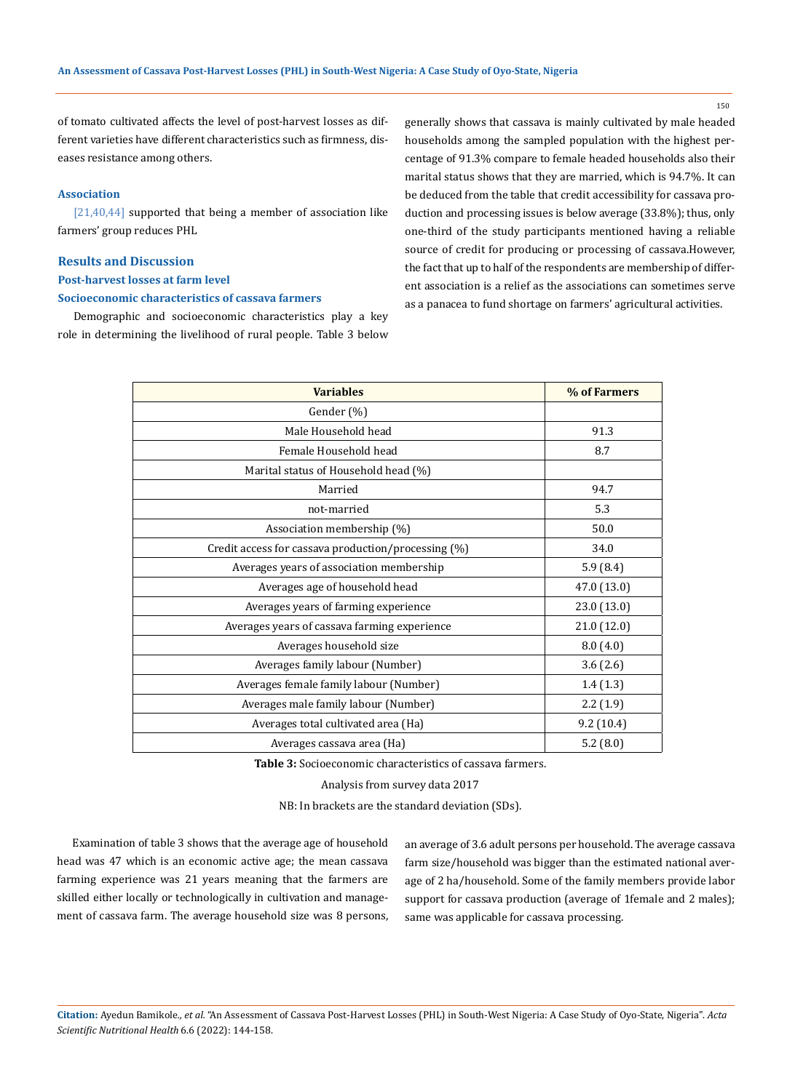150

of tomato cultivated affects the level of post-harvest losses as different varieties have different characteristics such as firmness, diseases resistance among others.

### **Association**

[21,40,44] supported that being a member of association like farmers' group reduces PHL

### **Results and Discussion**

**Post-harvest losses at farm level**

### **Socioeconomic characteristics of cassava farmers**

Demographic and socioeconomic characteristics play a key role in determining the livelihood of rural people. Table 3 below generally shows that cassava is mainly cultivated by male headed households among the sampled population with the highest percentage of 91.3% compare to female headed households also their marital status shows that they are married, which is 94.7%. It can be deduced from the table that credit accessibility for cassava production and processing issues is below average (33.8%); thus, only one-third of the study participants mentioned having a reliable source of credit for producing or processing of cassava.However, the fact that up to half of the respondents are membership of different association is a relief as the associations can sometimes serve as a panacea to fund shortage on farmers' agricultural activities.

| <b>Variables</b>                                    | % of Farmers |
|-----------------------------------------------------|--------------|
| Gender (%)                                          |              |
| Male Household head                                 | 91.3         |
| Female Household head                               | 8.7          |
| Marital status of Household head (%)                |              |
| Married                                             | 94.7         |
| not-married                                         | 5.3          |
| Association membership (%)                          | 50.0         |
| Credit access for cassava production/processing (%) | 34.0         |
| Averages years of association membership            | 5.9(8.4)     |
| Averages age of household head                      | 47.0 (13.0)  |
| Averages years of farming experience                | 23.0 (13.0)  |
| Averages years of cassava farming experience        | 21.0 (12.0)  |
| Averages household size                             | 8.0(4.0)     |
| Averages family labour (Number)                     | 3.6(2.6)     |
| Averages female family labour (Number)              | 1.4(1.3)     |
| Averages male family labour (Number)                | 2.2(1.9)     |
| Averages total cultivated area (Ha)                 | 9.2(10.4)    |
| Averages cassava area (Ha)                          | 5.2(8.0)     |

**Table 3:** Socioeconomic characteristics of cassava farmers.

Analysis from survey data 2017

NB: In brackets are the standard deviation (SDs).

Examination of table 3 shows that the average age of household head was 47 which is an economic active age; the mean cassava farming experience was 21 years meaning that the farmers are skilled either locally or technologically in cultivation and management of cassava farm. The average household size was 8 persons, an average of 3.6 adult persons per household. The average cassava farm size/household was bigger than the estimated national average of 2 ha/household. Some of the family members provide labor support for cassava production (average of 1female and 2 males); same was applicable for cassava processing.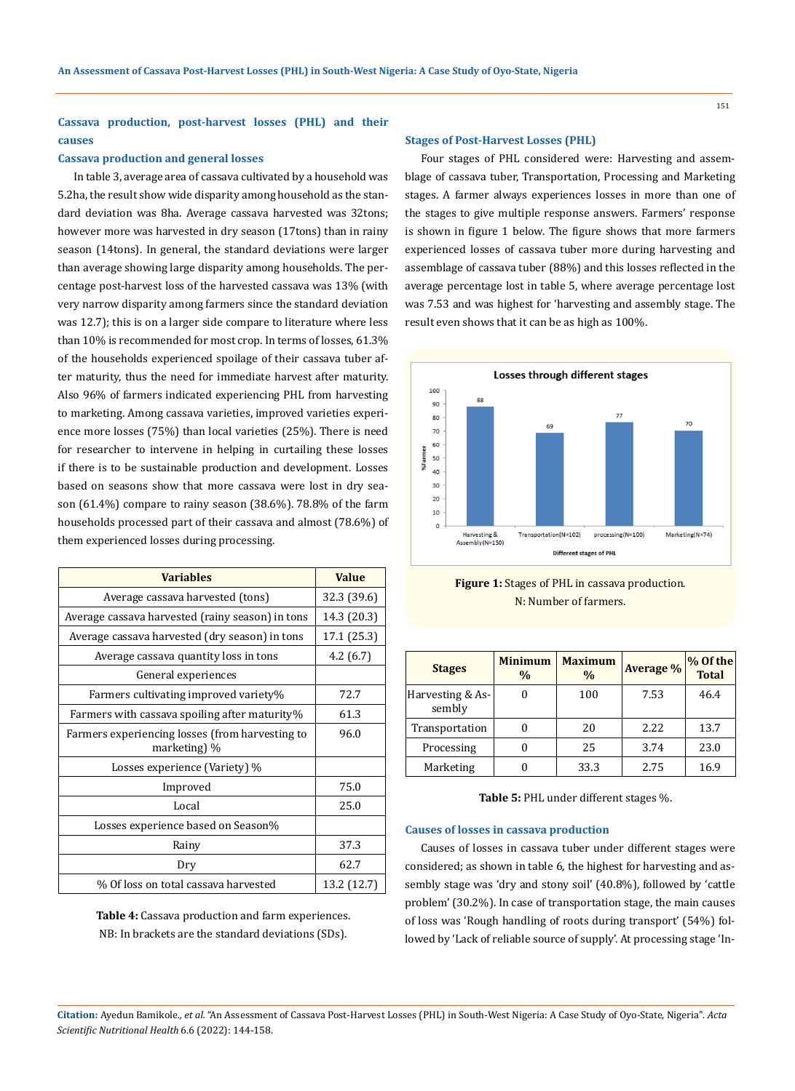# **Cassava production, post-harvest losses (PHL) and their causes**

#### **Cassava production and general losses**

In table 3, average area of cassava cultivated by a household was 5.2ha, the result show wide disparity among household as the standard deviation was 8ha. Average cassava harvested was 32tons; however more was harvested in dry season (17tons) than in rainy season (14tons). In general, the standard deviations were larger than average showing large disparity among households. The percentage post-harvest loss of the harvested cassava was 13% (with very narrow disparity among farmers since the standard deviation was 12.7); this is on a larger side compare to literature where less than 10% is recommended for most crop. In terms of losses, 61.3% of the households experienced spoilage of their cassava tuber after maturity, thus the need for immediate harvest after maturity. Also 96% of farmers indicated experiencing PHL from harvesting to marketing. Among cassava varieties, improved varieties experience more losses (75%) than local varieties (25%). There is need for researcher to intervene in helping in curtailing these losses if there is to be sustainable production and development. Losses based on seasons show that more cassava were lost in dry season (61.4%) compare to rainy season (38.6%). 78.8% of the farm households processed part of their cassava and almost (78.6%) of them experienced losses during processing.

| <b>Variables</b>                                                | <b>Value</b> |
|-----------------------------------------------------------------|--------------|
| Average cassava harvested (tons)                                | 32.3 (39.6)  |
| Average cassava harvested (rainy season) in tons                | 14.3 (20.3)  |
| Average cassava harvested (dry season) in tons                  | 17.1 (25.3)  |
| Average cassava quantity loss in tons                           | 4.2(6.7)     |
| General experiences                                             |              |
| Farmers cultivating improved variety%                           | 72.7         |
| Farmers with cassava spoiling after maturity%                   | 61.3         |
| Farmers experiencing losses (from harvesting to<br>marketing) % | 96.0         |
| Losses experience (Variety) %                                   |              |
| Improved                                                        | 75.0         |
| Local                                                           | 25.0         |
| Losses experience based on Season%                              |              |
| Rainy                                                           | 37.3         |
| Dry                                                             | 62.7         |
| % Of loss on total cassava harvested                            | 13.2 (12.7)  |

**Table 4:** Cassava production and farm experiences. NB: In brackets are the standard deviations (SDs).

#### **Stages of Post-Harvest Losses (PHL)**

Four stages of PHL considered were: Harvesting and assemblage of cassava tuber, Transportation, Processing and Marketing stages. A farmer always experiences losses in more than one of the stages to give multiple response answers. Farmers' response is shown in figure 1 below. The figure shows that more farmers experienced losses of cassava tuber more during harvesting and assemblage of cassava tuber (88%) and this losses reflected in the average percentage lost in table 5, where average percentage lost was 7.53 and was highest for 'harvesting and assembly stage. The result even shows that it can be as high as 100%.





| <b>Stages</b>              | <b>Minimum</b><br>$\frac{0}{0}$ | <b>Maximum</b><br>$\frac{0}{0}$ | <b>Average %</b> | % Of the<br><b>Total</b> |
|----------------------------|---------------------------------|---------------------------------|------------------|--------------------------|
| Harvesting & As-<br>sembly |                                 | 100                             | 7.53             | 46.4                     |
| Transportation             |                                 | 20                              | 2.22             | 13.7                     |
| Processing                 |                                 | 25                              | 3.74             | 23.0                     |
| Marketing                  |                                 | 33.3                            | 2.75             | 16.9                     |

**Table 5:** PHL under different stages %.

### **Causes of losses in cassava production**

Causes of losses in cassava tuber under different stages were considered; as shown in table 6, the highest for harvesting and assembly stage was 'dry and stony soil' (40.8%), followed by 'cattle problem' (30.2%). In case of transportation stage, the main causes of loss was 'Rough handling of roots during transport' (54%) followed by 'Lack of reliable source of supply'. At processing stage 'In-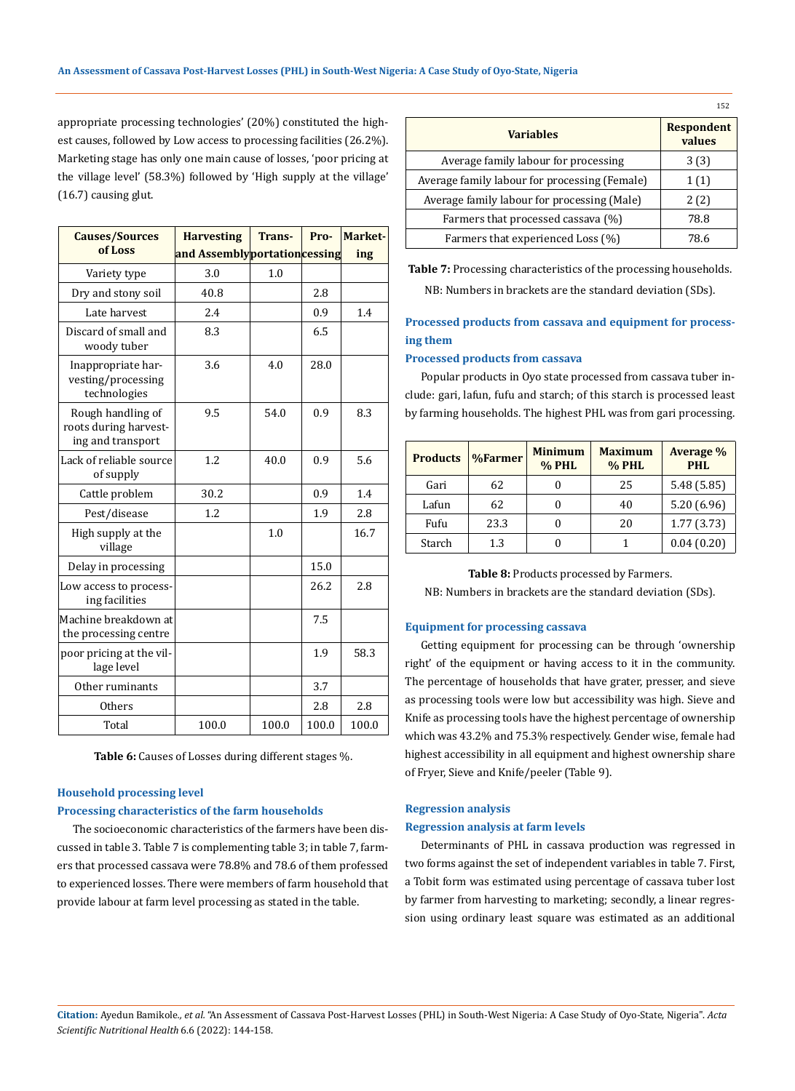appropriate processing technologies' (20%) constituted the highest causes, followed by Low access to processing facilities (26.2%). Marketing stage has only one main cause of losses, 'poor pricing at the village level' (58.3%) followed by 'High supply at the village' (16.7) causing glut.

| <b>Causes/Sources</b>                                           | <b>Harvesting</b>            | <b>Trans-</b> | Pro-  | Market- |
|-----------------------------------------------------------------|------------------------------|---------------|-------|---------|
| of Loss                                                         | and Assemblyportationcessing |               |       | ing     |
| Variety type                                                    | 3.0                          | 1.0           |       |         |
| Dry and stony soil                                              | 40.8                         |               | 2.8   |         |
| Late harvest                                                    | 2.4                          |               | 0.9   | 1.4     |
| Discard of small and<br>woody tuber                             | 8.3                          |               | 6.5   |         |
| Inappropriate har-<br>vesting/processing<br>technologies        | 3.6                          | 4.0           | 28.0  |         |
| Rough handling of<br>roots during harvest-<br>ing and transport | 9.5                          | 54.0          | 0.9   | 8.3     |
| Lack of reliable source<br>of supply                            | 1.2                          | 40.0          | 0.9   | 5.6     |
| Cattle problem                                                  | 30.2                         |               | 0.9   | 1.4     |
| Pest/disease                                                    | 1.2                          |               | 1.9   | 2.8     |
| High supply at the<br>village                                   |                              | 1.0           |       | 16.7    |
| Delay in processing                                             |                              |               | 15.0  |         |
| Low access to process-<br>ing facilities                        |                              |               | 26.2  | 2.8     |
| Machine breakdown at<br>the processing centre                   |                              |               | 7.5   |         |
| poor pricing at the vil-<br>lage level                          |                              |               | 1.9   | 58.3    |
| Other ruminants                                                 |                              |               | 3.7   |         |
| <b>Others</b>                                                   |                              |               | 2.8   | 2.8     |
| Total                                                           | 100.0                        | 100.0         | 100.0 | 100.0   |

**Table 6:** Causes of Losses during different stages %.

### **Household processing level**

### **Processing characteristics of the farm households**

The socioeconomic characteristics of the farmers have been discussed in table 3. Table 7 is complementing table 3; in table 7, farmers that processed cassava were 78.8% and 78.6 of them professed to experienced losses. There were members of farm household that provide labour at farm level processing as stated in the table.

| <b>Variables</b>                              | <b>Respondent</b><br>values |
|-----------------------------------------------|-----------------------------|
| Average family labour for processing          | 3(3)                        |
| Average family labour for processing (Female) | 1(1)                        |
| Average family labour for processing (Male)   | 2(2)                        |
| Farmers that processed cassava (%)            | 78.8                        |
| Farmers that experienced Loss (%)             | 78.6                        |

**Table 7:** Processing characteristics of the processing households. NB: Numbers in brackets are the standard deviation (SDs).

# **Processed products from cassava and equipment for processing them**

### **Processed products from cassava**

Popular products in Oyo state processed from cassava tuber include: gari, lafun, fufu and starch; of this starch is processed least by farming households. The highest PHL was from gari processing.

| <b>Products</b> | %Farmer | <b>Minimum</b><br><b>% PHL</b> | <b>Maximum</b><br><b>% PHL</b> | Average %<br><b>PHL</b> |
|-----------------|---------|--------------------------------|--------------------------------|-------------------------|
| Gari            | 62      |                                | 25                             | 5.48(5.85)              |
| Lafun           | 62      |                                | 40                             | 5.20(6.96)              |
| Fufu            | 23.3    |                                | 20                             | 1.77(3.73)              |
| Starch          | 1.3     |                                |                                | 0.04(0.20)              |

**Table 8:** Products processed by Farmers. NB: Numbers in brackets are the standard deviation (SDs).

### **Equipment for processing cassava**

Getting equipment for processing can be through 'ownership right' of the equipment or having access to it in the community. The percentage of households that have grater, presser, and sieve as processing tools were low but accessibility was high. Sieve and Knife as processing tools have the highest percentage of ownership which was 43.2% and 75.3% respectively. Gender wise, female had highest accessibility in all equipment and highest ownership share of Fryer, Sieve and Knife/peeler (Table 9).

#### **Regression analysis**

### **Regression analysis at farm levels**

Determinants of PHL in cassava production was regressed in two forms against the set of independent variables in table 7. First, a Tobit form was estimated using percentage of cassava tuber lost by farmer from harvesting to marketing; secondly, a linear regression using ordinary least square was estimated as an additional

**Citation:** Ayedun Bamikole*., et al.* "An Assessment of Cassava Post-Harvest Losses (PHL) in South-West Nigeria: A Case Study of Oyo-State, Nigeria". *Acta Scientific Nutritional Health* 6.6 (2022): 144-158.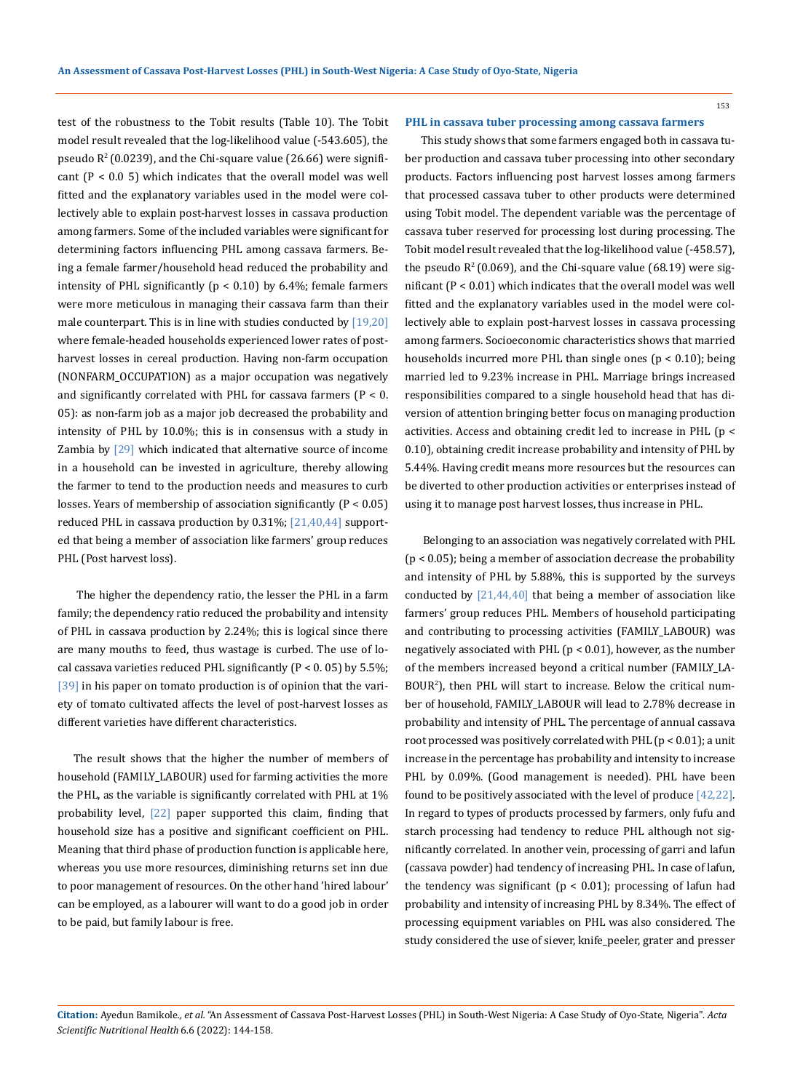test of the robustness to the Tobit results (Table 10). The Tobit model result revealed that the log-likelihood value (-543.605), the pseudo  $R^2$  (0.0239), and the Chi-square value (26.66) were significant  $(P < 0.05)$  which indicates that the overall model was well fitted and the explanatory variables used in the model were collectively able to explain post-harvest losses in cassava production among farmers. Some of the included variables were significant for determining factors influencing PHL among cassava farmers. Being a female farmer/household head reduced the probability and intensity of PHL significantly  $(p < 0.10)$  by 6.4%; female farmers were more meticulous in managing their cassava farm than their male counterpart. This is in line with studies conducted by  $[19,20]$ where female-headed households experienced lower rates of postharvest losses in cereal production. Having non-farm occupation (NONFARM\_OCCUPATION) as a major occupation was negatively and significantly correlated with PHL for cassava farmers ( $P < 0$ . 05): as non-farm job as a major job decreased the probability and intensity of PHL by 10.0%; this is in consensus with a study in Zambia by [29] which indicated that alternative source of income in a household can be invested in agriculture, thereby allowing the farmer to tend to the production needs and measures to curb losses. Years of membership of association significantly (P < 0.05) reduced PHL in cassava production by  $0.31\%$ ;  $[21,40,44]$  supported that being a member of association like farmers' group reduces PHL (Post harvest loss).

 The higher the dependency ratio, the lesser the PHL in a farm family; the dependency ratio reduced the probability and intensity of PHL in cassava production by 2.24%; this is logical since there are many mouths to feed, thus wastage is curbed. The use of local cassava varieties reduced PHL significantly  $(P < 0.05)$  by 5.5%; [39] in his paper on tomato production is of opinion that the variety of tomato cultivated affects the level of post-harvest losses as different varieties have different characteristics.

The result shows that the higher the number of members of household (FAMILY\_LABOUR) used for farming activities the more the PHL, as the variable is significantly correlated with PHL at 1% probability level, [22] paper supported this claim, finding that household size has a positive and significant coefficient on PHL. Meaning that third phase of production function is applicable here, whereas you use more resources, diminishing returns set inn due to poor management of resources. On the other hand 'hired labour' can be employed, as a labourer will want to do a good job in order to be paid, but family labour is free.

#### **PHL in cassava tuber processing among cassava farmers**

This study shows that some farmers engaged both in cassava tuber production and cassava tuber processing into other secondary products. Factors influencing post harvest losses among farmers that processed cassava tuber to other products were determined using Tobit model. The dependent variable was the percentage of cassava tuber reserved for processing lost during processing. The Tobit model result revealed that the log-likelihood value (-458.57), the pseudo  $R^2$  (0.069), and the Chi-square value (68.19) were significant (P < 0.01) which indicates that the overall model was well fitted and the explanatory variables used in the model were collectively able to explain post-harvest losses in cassava processing among farmers. Socioeconomic characteristics shows that married households incurred more PHL than single ones ( $p < 0.10$ ); being married led to 9.23% increase in PHL. Marriage brings increased responsibilities compared to a single household head that has diversion of attention bringing better focus on managing production activities. Access and obtaining credit led to increase in PHL (p < 0.10), obtaining credit increase probability and intensity of PHL by 5.44%. Having credit means more resources but the resources can be diverted to other production activities or enterprises instead of using it to manage post harvest losses, thus increase in PHL.

 Belonging to an association was negatively correlated with PHL (p < 0.05); being a member of association decrease the probability and intensity of PHL by 5.88%, this is supported by the surveys conducted by  $[21,44,40]$  that being a member of association like farmers' group reduces PHL. Members of household participating and contributing to processing activities (FAMILY\_LABOUR) was negatively associated with PHL (p < 0.01), however, as the number of the members increased beyond a critical number (FAMILY\_LA-BOUR<sup>2</sup> ), then PHL will start to increase. Below the critical number of household, FAMILY\_LABOUR will lead to 2.78% decrease in probability and intensity of PHL. The percentage of annual cassava root processed was positively correlated with PHL  $(p < 0.01)$ ; a unit increase in the percentage has probability and intensity to increase PHL by 0.09%. (Good management is needed). PHL have been found to be positively associated with the level of produce [42,22]. In regard to types of products processed by farmers, only fufu and starch processing had tendency to reduce PHL although not significantly correlated. In another vein, processing of garri and lafun (cassava powder) had tendency of increasing PHL. In case of lafun, the tendency was significant ( $p < 0.01$ ); processing of lafun had probability and intensity of increasing PHL by 8.34%. The effect of processing equipment variables on PHL was also considered. The study considered the use of siever, knife\_peeler, grater and presser

**Citation:** Ayedun Bamikole*., et al.* "An Assessment of Cassava Post-Harvest Losses (PHL) in South-West Nigeria: A Case Study of Oyo-State, Nigeria". *Acta Scientific Nutritional Health* 6.6 (2022): 144-158.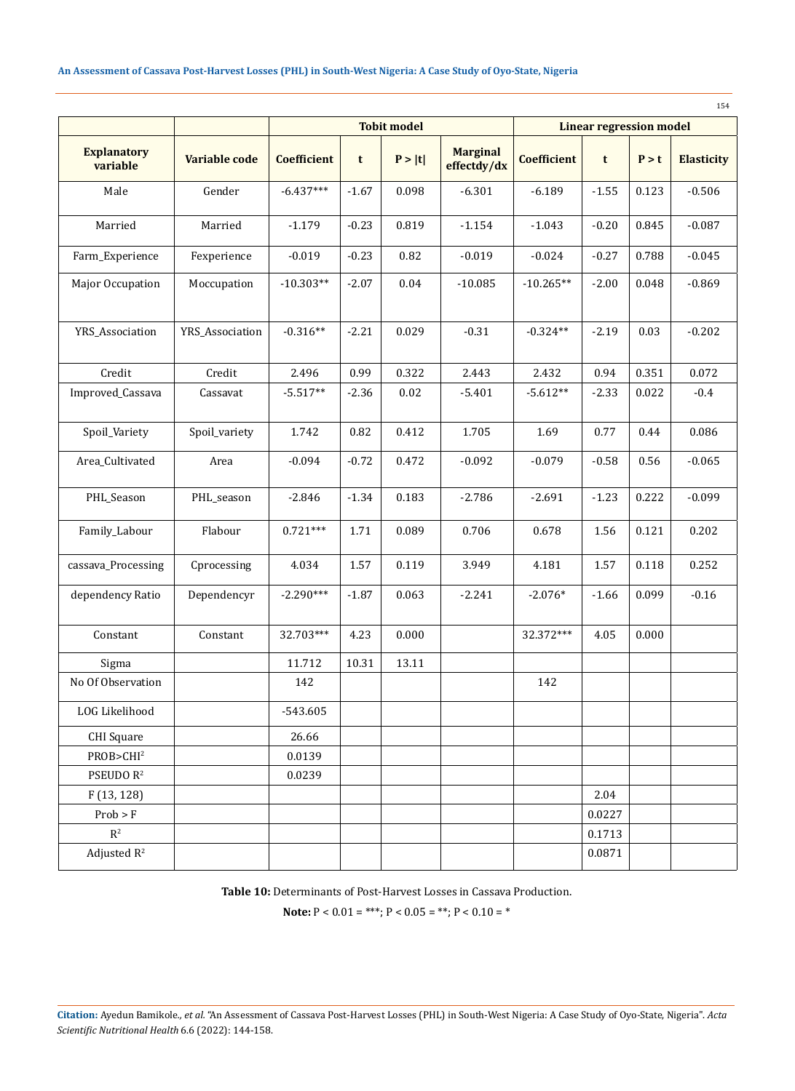|                       |                 | <b>Tobit model</b> |                 |          |             |                    | <b>Linear regression model</b> |       | 154               |
|-----------------------|-----------------|--------------------|-----------------|----------|-------------|--------------------|--------------------------------|-------|-------------------|
| <b>Explanatory</b>    |                 |                    | <b>Marginal</b> |          |             |                    |                                |       |                   |
| variable              | Variable code   | <b>Coefficient</b> | t               | P >  t   | effectdy/dx | <b>Coefficient</b> | t                              | P > t | <b>Elasticity</b> |
| Male                  | Gender          | $-6.437***$        | $-1.67$         | 0.098    | $-6.301$    | $-6.189$           | $-1.55$                        | 0.123 | $-0.506$          |
| Married               | Married         | $-1.179$           | $-0.23$         | 0.819    | $-1.154$    | $-1.043$           | $-0.20$                        | 0.845 | $-0.087$          |
| Farm_Experience       | Fexperience     | $-0.019$           | $-0.23$         | 0.82     | $-0.019$    | $-0.024$           | $-0.27$                        | 0.788 | $-0.045$          |
| Major Occupation      | Moccupation     | $-10.303**$        | $-2.07$         | $0.04\,$ | $-10.085$   | $-10.265**$        | $-2.00$                        | 0.048 | $-0.869$          |
| YRS_Association       | YRS_Association | $-0.316**$         | $-2.21$         | 0.029    | $-0.31$     | $-0.324**$         | $-2.19$                        | 0.03  | $-0.202$          |
| Credit                | Credit          | 2.496              | 0.99            | 0.322    | 2.443       | 2.432              | 0.94                           | 0.351 | 0.072             |
| Improved_Cassava      | Cassavat        | $-5.517**$         | $-2.36$         | $0.02\,$ | $-5.401$    | $-5.612**$         | $-2.33$                        | 0.022 | $-0.4$            |
| Spoil_Variety         | Spoil_variety   | 1.742              | 0.82            | 0.412    | 1.705       | 1.69               | 0.77                           | 0.44  | 0.086             |
| Area_Cultivated       | Area            | $-0.094$           | $-0.72$         | 0.472    | $-0.092$    | $-0.079$           | $-0.58$                        | 0.56  | $-0.065$          |
| PHL_Season            | PHL_season      | $-2.846$           | $-1.34$         | 0.183    | $-2.786$    | $-2.691$           | $-1.23$                        | 0.222 | $-0.099$          |
| Family_Labour         | Flabour         | $0.721***$         | 1.71            | 0.089    | 0.706       | 0.678              | 1.56                           | 0.121 | 0.202             |
| cassava_Processing    | Cprocessing     | 4.034              | 1.57            | 0.119    | 3.949       | 4.181              | 1.57                           | 0.118 | 0.252             |
| dependency Ratio      | Dependencyr     | $-2.290***$        | $-1.87$         | 0.063    | $-2.241$    | $-2.076*$          | $-1.66$                        | 0.099 | $-0.16$           |
| Constant              | Constant        | 32.703***          | 4.23            | 0.000    |             | 32.372***          | 4.05                           | 0.000 |                   |
| Sigma                 |                 | 11.712             | 10.31           | 13.11    |             |                    |                                |       |                   |
| No Of Observation     |                 | 142                |                 |          |             | 142                |                                |       |                   |
| LOG Likelihood        |                 | -543.605           |                 |          |             |                    |                                |       |                   |
| <b>CHI</b> Square     |                 | 26.66              |                 |          |             |                    |                                |       |                   |
| PROB>CHI <sup>2</sup> |                 | 0.0139             |                 |          |             |                    |                                |       |                   |
| PSEUDO R <sup>2</sup> |                 | 0.0239             |                 |          |             |                    |                                |       |                   |
| F(13, 128)            |                 |                    |                 |          |             |                    | 2.04                           |       |                   |
| Prob > F              |                 |                    |                 |          |             |                    | 0.0227                         |       |                   |
| $\mathbb{R}^2$        |                 |                    |                 |          |             |                    | 0.1713                         |       |                   |
| Adjusted $R^2$        |                 |                    |                 |          |             |                    | 0.0871                         |       |                   |

**Table 10:** Determinants of Post-Harvest Losses in Cassava Production.

**Note:**  $P < 0.01 =$ \*\*\*;  $P < 0.05 =$ \*\*;  $P < 0.10 =$ \*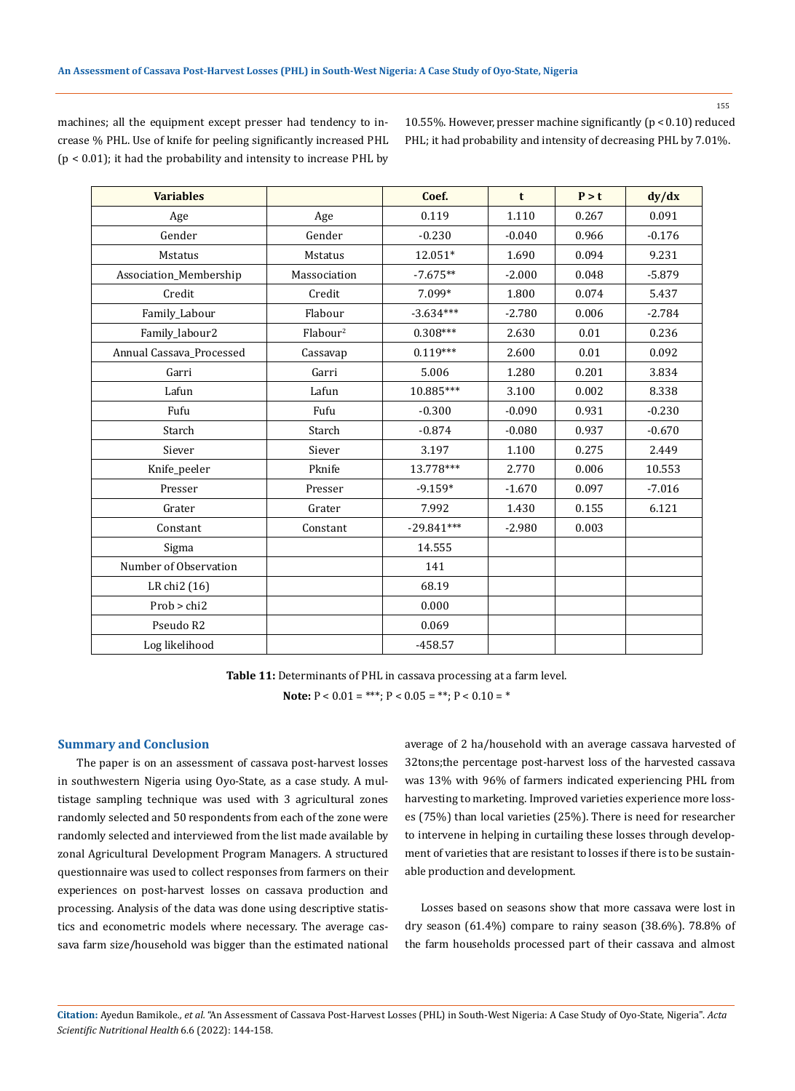155

machines; all the equipment except presser had tendency to increase % PHL. Use of knife for peeling significantly increased PHL (p < 0.01); it had the probability and intensity to increase PHL by 10.55%. However, presser machine significantly (p < 0.10) reduced PHL; it had probability and intensity of decreasing PHL by 7.01%.

| <b>Variables</b>         |                      | Coef.        | t        | P > t | dy/dx    |
|--------------------------|----------------------|--------------|----------|-------|----------|
| Age                      | Age                  | 0.119        | 1.110    | 0.267 | 0.091    |
| Gender                   | Gender               | $-0.230$     | $-0.040$ | 0.966 | $-0.176$ |
| Mstatus                  | Mstatus              | 12.051*      | 1.690    | 0.094 | 9.231    |
| Association_Membership   | Massociation         | $-7.675**$   | $-2.000$ | 0.048 | $-5.879$ |
| Credit                   | Credit               | 7.099*       | 1.800    | 0.074 | 5.437    |
| Family_Labour            | Flabour              | $-3.634***$  | $-2.780$ | 0.006 | $-2.784$ |
| Family_labour2           | Flabour <sup>2</sup> | $0.308***$   | 2.630    | 0.01  | 0.236    |
| Annual Cassava_Processed | Cassavap             | $0.119***$   | 2.600    | 0.01  | 0.092    |
| Garri                    | Garri                | 5.006        | 1.280    | 0.201 | 3.834    |
| Lafun                    | Lafun                | 10.885***    | 3.100    | 0.002 | 8.338    |
| Fufu                     | Fufu                 | $-0.300$     | $-0.090$ | 0.931 | $-0.230$ |
| Starch                   | Starch               | $-0.874$     | $-0.080$ | 0.937 | $-0.670$ |
| Siever                   | Siever               | 3.197        | 1.100    | 0.275 | 2.449    |
| Knife_peeler             | Pknife               | 13.778***    | 2.770    | 0.006 | 10.553   |
| Presser                  | Presser              | $-9.159*$    | $-1.670$ | 0.097 | $-7.016$ |
| Grater                   | Grater               | 7.992        | 1.430    | 0.155 | 6.121    |
| Constant                 | Constant             | $-29.841***$ | $-2.980$ | 0.003 |          |
| Sigma                    |                      | 14.555       |          |       |          |
| Number of Observation    |                      | 141          |          |       |          |
| LR chi2 (16)             |                      | 68.19        |          |       |          |
| Prob > chi2              |                      | 0.000        |          |       |          |
| Pseudo R2                |                      | 0.069        |          |       |          |
| Log likelihood           |                      | $-458.57$    |          |       |          |
|                          |                      |              |          |       |          |

**Table 11:** Determinants of PHL in cassava processing at a farm level.

**Note:**  $P < 0.01 =$ \*\*\*;  $P < 0.05 =$ \*\*;  $P < 0.10 =$ \*

### **Summary and Conclusion**

 The paper is on an assessment of cassava post-harvest losses in southwestern Nigeria using Oyo-State, as a case study. A multistage sampling technique was used with 3 agricultural zones randomly selected and 50 respondents from each of the zone were randomly selected and interviewed from the list made available by zonal Agricultural Development Program Managers. A structured questionnaire was used to collect responses from farmers on their experiences on post-harvest losses on cassava production and processing. Analysis of the data was done using descriptive statistics and econometric models where necessary. The average cassava farm size/household was bigger than the estimated national

average of 2 ha/household with an average cassava harvested of 32tons;the percentage post-harvest loss of the harvested cassava was 13% with 96% of farmers indicated experiencing PHL from harvesting to marketing. Improved varieties experience more losses (75%) than local varieties (25%). There is need for researcher to intervene in helping in curtailing these losses through development of varieties that are resistant to losses if there is to be sustainable production and development.

Losses based on seasons show that more cassava were lost in dry season (61.4%) compare to rainy season (38.6%). 78.8% of the farm households processed part of their cassava and almost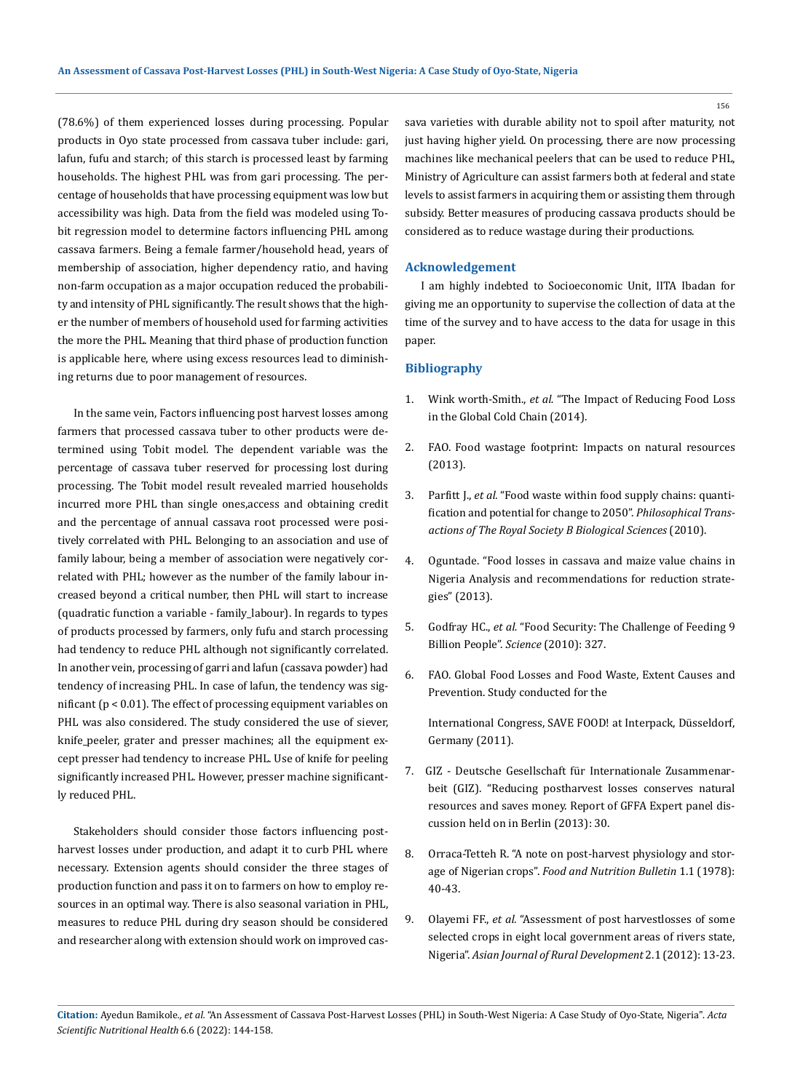(78.6%) of them experienced losses during processing. Popular products in Oyo state processed from cassava tuber include: gari, lafun, fufu and starch; of this starch is processed least by farming households. The highest PHL was from gari processing. The percentage of households that have processing equipment was low but accessibility was high. Data from the field was modeled using Tobit regression model to determine factors influencing PHL among cassava farmers. Being a female farmer/household head, years of membership of association, higher dependency ratio, and having non-farm occupation as a major occupation reduced the probability and intensity of PHL significantly. The result shows that the higher the number of members of household used for farming activities the more the PHL. Meaning that third phase of production function is applicable here, where using excess resources lead to diminishing returns due to poor management of resources.

In the same vein, Factors influencing post harvest losses among farmers that processed cassava tuber to other products were determined using Tobit model. The dependent variable was the percentage of cassava tuber reserved for processing lost during processing. The Tobit model result revealed married households incurred more PHL than single ones,access and obtaining credit and the percentage of annual cassava root processed were positively correlated with PHL. Belonging to an association and use of family labour, being a member of association were negatively correlated with PHL; however as the number of the family labour increased beyond a critical number, then PHL will start to increase (quadratic function a variable - family\_labour). In regards to types of products processed by farmers, only fufu and starch processing had tendency to reduce PHL although not significantly correlated. In another vein, processing of garri and lafun (cassava powder) had tendency of increasing PHL. In case of lafun, the tendency was significant (p < 0.01). The effect of processing equipment variables on PHL was also considered. The study considered the use of siever, knife\_peeler, grater and presser machines; all the equipment except presser had tendency to increase PHL. Use of knife for peeling significantly increased PHL. However, presser machine significantly reduced PHL.

Stakeholders should consider those factors influencing postharvest losses under production, and adapt it to curb PHL where necessary. Extension agents should consider the three stages of production function and pass it on to farmers on how to employ resources in an optimal way. There is also seasonal variation in PHL, measures to reduce PHL during dry season should be considered and researcher along with extension should work on improved cassava varieties with durable ability not to spoil after maturity, not just having higher yield. On processing, there are now processing machines like mechanical peelers that can be used to reduce PHL, Ministry of Agriculture can assist farmers both at federal and state levels to assist farmers in acquiring them or assisting them through subsidy. Better measures of producing cassava products should be considered as to reduce wastage during their productions.

### **Acknowledgement**

I am highly indebted to Socioeconomic Unit, IITA Ibadan for giving me an opportunity to supervise the collection of data at the time of the survey and to have access to the data for usage in this paper.

### **Bibliography**

- 1. Wink worth-Smith., *et al.* ["The Impact of Reducing Food Loss](http://foodfoolishbook.com/wp-content/themes/FoodFoolish%202015/images/Carrier-Nottingham-Report.pdf)  [in the Global Cold Chain \(2014\).](http://foodfoolishbook.com/wp-content/themes/FoodFoolish%202015/images/Carrier-Nottingham-Report.pdf)
- 2. [FAO. Food wastage footprint: Impacts on natural resources](https://www.fao.org/3/i3347e/i3347e.pdf)  [\(2013\).](https://www.fao.org/3/i3347e/i3347e.pdf)
- 3. Parfitt J., *et al.* ["Food waste within food supply chains: quanti](https://www.researchgate.net/publication/45659717_Food_Waste_within_Food_Supply_Chains_Quantification_and_Potential_for_Change_to_2050)[fication and potential for change to 2050".](https://www.researchgate.net/publication/45659717_Food_Waste_within_Food_Supply_Chains_Quantification_and_Potential_for_Change_to_2050) *Philosophical Trans[actions of The Royal Society B Biological Sciences](https://www.researchgate.net/publication/45659717_Food_Waste_within_Food_Supply_Chains_Quantification_and_Potential_for_Change_to_2050)* (2010).
- 4. [Oguntade. "Food losses in cassava and maize value chains in](https://books.google.co.in/books/about/Food_Losses_in_Cassava_and_Maize_Value_C.html?id=a9TTsgEACAAJ&redir_esc=y)  [Nigeria Analysis and recommendations for reduction strate](https://books.google.co.in/books/about/Food_Losses_in_Cassava_and_Maize_Value_C.html?id=a9TTsgEACAAJ&redir_esc=y)[gies" \(2013\).](https://books.google.co.in/books/about/Food_Losses_in_Cassava_and_Maize_Value_C.html?id=a9TTsgEACAAJ&redir_esc=y)
- 5. Godfray HC., *et al.* ["Food Security: The Challenge of Feeding 9](https://pubmed.ncbi.nlm.nih.gov/20110467/)  [Billion People".](https://pubmed.ncbi.nlm.nih.gov/20110467/) *Science* (2010): 327.
- 6. [FAO. Global Food Losses and Food Waste, Extent Causes and](https://www.worldcat.org/title/global-food-losses-and-food-waste-extent-causes-and-prevention-study-conducted-for-the-international-congress-save-food-at-interpack-2011-dusseldorf-germany/oclc/800037286?page=citation)  [Prevention. Study conducted for the](https://www.worldcat.org/title/global-food-losses-and-food-waste-extent-causes-and-prevention-study-conducted-for-the-international-congress-save-food-at-interpack-2011-dusseldorf-germany/oclc/800037286?page=citation)

[International Congress, SAVE FOOD! at Interpack, Düsseldorf,](https://www.worldcat.org/title/global-food-losses-and-food-waste-extent-causes-and-prevention-study-conducted-for-the-international-congress-save-food-at-interpack-2011-dusseldorf-germany/oclc/800037286?page=citation)  [Germany \(2011\).](https://www.worldcat.org/title/global-food-losses-and-food-waste-extent-causes-and-prevention-study-conducted-for-the-international-congress-save-food-at-interpack-2011-dusseldorf-germany/oclc/800037286?page=citation)

- 7. GIZ Deutsche Gesellschaft für Internationale Zusammenarbeit (GIZ). "Reducing postharvest losses conserves natural resources and saves money. Report of GFFA Expert panel discussion held on in Berlin (2013): 30.
- 8. [Orraca-Tetteh R. "A note on post-harvest physiology and stor](https://journals.sagepub.com/doi/pdf/10.1177/156482657800100101)age of Nigerian crops". *[Food and Nutrition Bulletin](https://journals.sagepub.com/doi/pdf/10.1177/156482657800100101)* 1.1 (1978): [40-43.](https://journals.sagepub.com/doi/pdf/10.1177/156482657800100101)
- 9. Olayemi FF., *et al.* ["Assessment of post harvestlosses of some](https://www.researchgate.net/publication/274427068_Assessment_of_Post_Harvest_Losses_of_Some_Selected_Crops_in_Eight_Local_Government_Areas_of_Rivers_State_Nigeria)  [selected crops in eight local government areas of rivers state,](https://www.researchgate.net/publication/274427068_Assessment_of_Post_Harvest_Losses_of_Some_Selected_Crops_in_Eight_Local_Government_Areas_of_Rivers_State_Nigeria)  Nigeria". *[Asian Journal of Rural Development](https://www.researchgate.net/publication/274427068_Assessment_of_Post_Harvest_Losses_of_Some_Selected_Crops_in_Eight_Local_Government_Areas_of_Rivers_State_Nigeria)* 2.1 (2012): 13-23.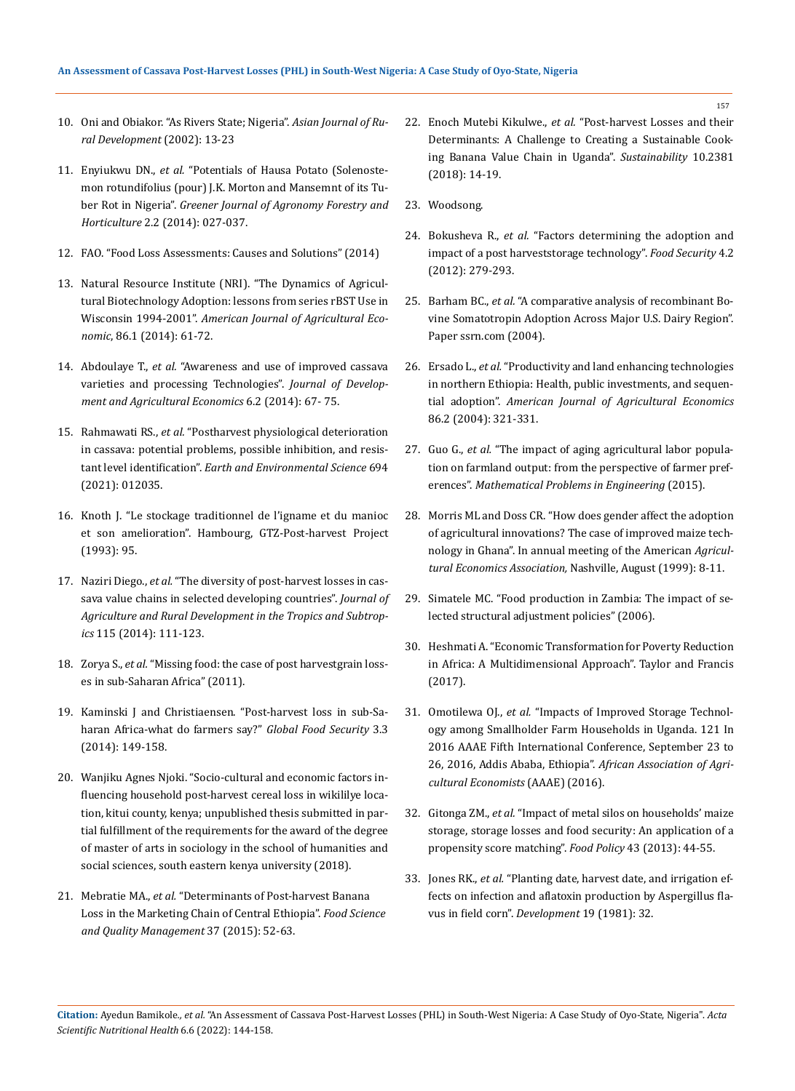- 10. Oni and Obiakor. "As Rivers State; Nigeria". *Asian Journal of Rural Development* (2002): 13-23
- 11. Enyiukwu DN., *et al.* ["Potentials of Hausa Potato \(Solenoste](https://www.researchgate.net/publication/313124311_Potentials_of_Hausa_Potato_Solenostemon_rotundifolius_Poir_J_K_Morton_and_Management_of_its_Tuber_Rot_in_Nigeria)[mon rotundifolius \(pour\) J.K. Morton and Mansemnt of its Tu](https://www.researchgate.net/publication/313124311_Potentials_of_Hausa_Potato_Solenostemon_rotundifolius_Poir_J_K_Morton_and_Management_of_its_Tuber_Rot_in_Nigeria)ber Rot in Nigeria". *[Greener Journal of Agronomy Forestry and](https://www.researchgate.net/publication/313124311_Potentials_of_Hausa_Potato_Solenostemon_rotundifolius_Poir_J_K_Morton_and_Management_of_its_Tuber_Rot_in_Nigeria)  Horticulture* [2.2 \(2014\): 027-037.](https://www.researchgate.net/publication/313124311_Potentials_of_Hausa_Potato_Solenostemon_rotundifolius_Poir_J_K_Morton_and_Management_of_its_Tuber_Rot_in_Nigeria)
- 12. [FAO. "Food Loss Assessments: Causes and Solutions" \(2014\)](https://www.fao.org/fileadmin/user_upload/save-food/PDF/Kenya_Food_Loss_Studies.pdf)
- 13. [Natural Resource Institute \(NRI\). "The Dynamics of Agricul](https://tind-customer-agecon.s3.amazonaws.com/a8b78a5d-4a17-4e7b-b234-86bd4be170f0?response-content-disposition=attachment%3B%20filename%2A%3DUTF-8%27%27sp02mo04.pdf&response-content-type=application%2Fpdf&X-Amz-Algorithm=AWS4-HMAC-SHA256&X-Amz-Expires=86400&X-Amz-Credential=AKIAXL7W7Q3XHXDVDQYS%2F20220323%2Feu-west-1%2Fs3%2Faws4_request&X-Amz-SignedHeaders=host&X-Amz-Date=20220323T112647Z&X-Amz-Signature=3d5f96d8f7e0b38a9ad862634e8d0aafaaaa7fba877b407275fd538df0d8e932)[tural Biotechnology Adoption: lessons from series rBST Use in](https://tind-customer-agecon.s3.amazonaws.com/a8b78a5d-4a17-4e7b-b234-86bd4be170f0?response-content-disposition=attachment%3B%20filename%2A%3DUTF-8%27%27sp02mo04.pdf&response-content-type=application%2Fpdf&X-Amz-Algorithm=AWS4-HMAC-SHA256&X-Amz-Expires=86400&X-Amz-Credential=AKIAXL7W7Q3XHXDVDQYS%2F20220323%2Feu-west-1%2Fs3%2Faws4_request&X-Amz-SignedHeaders=host&X-Amz-Date=20220323T112647Z&X-Amz-Signature=3d5f96d8f7e0b38a9ad862634e8d0aafaaaa7fba877b407275fd538df0d8e932)  Wisconsin 1994-2001". *[American Journal of Agricultural Eco](https://tind-customer-agecon.s3.amazonaws.com/a8b78a5d-4a17-4e7b-b234-86bd4be170f0?response-content-disposition=attachment%3B%20filename%2A%3DUTF-8%27%27sp02mo04.pdf&response-content-type=application%2Fpdf&X-Amz-Algorithm=AWS4-HMAC-SHA256&X-Amz-Expires=86400&X-Amz-Credential=AKIAXL7W7Q3XHXDVDQYS%2F20220323%2Feu-west-1%2Fs3%2Faws4_request&X-Amz-SignedHeaders=host&X-Amz-Date=20220323T112647Z&X-Amz-Signature=3d5f96d8f7e0b38a9ad862634e8d0aafaaaa7fba877b407275fd538df0d8e932)nomic*[, 86.1 \(2014\): 61-72.](https://tind-customer-agecon.s3.amazonaws.com/a8b78a5d-4a17-4e7b-b234-86bd4be170f0?response-content-disposition=attachment%3B%20filename%2A%3DUTF-8%27%27sp02mo04.pdf&response-content-type=application%2Fpdf&X-Amz-Algorithm=AWS4-HMAC-SHA256&X-Amz-Expires=86400&X-Amz-Credential=AKIAXL7W7Q3XHXDVDQYS%2F20220323%2Feu-west-1%2Fs3%2Faws4_request&X-Amz-SignedHeaders=host&X-Amz-Date=20220323T112647Z&X-Amz-Signature=3d5f96d8f7e0b38a9ad862634e8d0aafaaaa7fba877b407275fd538df0d8e932)
- 14. Abdoulaye T., *et al.* "Awareness and use of improved cassava varieties and processing Technologies". *Journal of Development and Agricultural Economics* 6.2 (2014): 67- 75.
- 15. Rahmawati RS., *et al.* ["Postharvest physiological deterioration](https://www.researchgate.net/publication/350079112_Postharvest_physiological_deterioration_in_cassava_potential_problems_possible_inhibition_and_resistant_level_identification)  [in cassava: potential problems, possible inhibition, and resis](https://www.researchgate.net/publication/350079112_Postharvest_physiological_deterioration_in_cassava_potential_problems_possible_inhibition_and_resistant_level_identification)tant level identification". *[Earth and Environmental Science](https://www.researchgate.net/publication/350079112_Postharvest_physiological_deterioration_in_cassava_potential_problems_possible_inhibition_and_resistant_level_identification)* 694 [\(2021\): 012035.](https://www.researchgate.net/publication/350079112_Postharvest_physiological_deterioration_in_cassava_potential_problems_possible_inhibition_and_resistant_level_identification)
- 16. [Knoth J. "Le stockage traditionnel de l'igname et du manioc](https://www.fao.org/in-action/inpho/publications/detail/fr/c/363/)  [et son amelioration". Hambourg, GTZ-Post-harvest Project](https://www.fao.org/in-action/inpho/publications/detail/fr/c/363/)  [\(1993\): 95.](https://www.fao.org/in-action/inpho/publications/detail/fr/c/363/)
- 17. Naziri Diego., *et al.* ["The diversity of post-harvest losses in cas](https://www.researchgate.net/publication/270876339_The_diversity_of_postharvest_losses_in_cassava_value_chains_in_selected_developing_countries)[sava value chains in selected developing countries".](https://www.researchgate.net/publication/270876339_The_diversity_of_postharvest_losses_in_cassava_value_chains_in_selected_developing_countries) *Journal of [Agriculture and Rural Development in the Tropics and Subtrop](https://www.researchgate.net/publication/270876339_The_diversity_of_postharvest_losses_in_cassava_value_chains_in_selected_developing_countries)ics* [115 \(2014\): 111-123.](https://www.researchgate.net/publication/270876339_The_diversity_of_postharvest_losses_in_cassava_value_chains_in_selected_developing_countries)
- 18. Zorya S., *et al.* ["Missing food: the case of post harvestgrain loss](https://reliefweb.int/report/world/missing-food-case-postharvest-grain-losses-sub-saharan-africa)[es in sub-Saharan Africa" \(2011\).](https://reliefweb.int/report/world/missing-food-case-postharvest-grain-losses-sub-saharan-africa)
- 19. [Kaminski J and Christiaensen. "Post-harvest loss in sub-Sa](https://www.sciencedirect.com/science/article/abs/pii/S221191241400042X)[haran Africa-what do farmers say?"](https://www.sciencedirect.com/science/article/abs/pii/S221191241400042X) *Global Food Security* 3.3 [\(2014\): 149-158.](https://www.sciencedirect.com/science/article/abs/pii/S221191241400042X)
- 20. Wanjiku Agnes Njoki. "Socio-cultural and economic factors influencing household post-harvest cereal loss in wikililye location, kitui county, kenya; unpublished thesis submitted in partial fulfillment of the requirements for the award of the degree of master of arts in sociology in the school of humanities and social sciences, south eastern kenya university (2018).
- 21. Mebratie MA., *et al.* ["Determinants of Post-harvest Banana](https://www.semanticscholar.org/paper/Determinants-of-Postharvest-Banana-Loss-in-the-of-Mebratie-Haji/aec06cd5b46943bfa88d3befae7e46295401199e)  [Loss in the Marketing Chain of Central Ethiopia".](https://www.semanticscholar.org/paper/Determinants-of-Postharvest-Banana-Loss-in-the-of-Mebratie-Haji/aec06cd5b46943bfa88d3befae7e46295401199e) *Food Science [and Quality Management](https://www.semanticscholar.org/paper/Determinants-of-Postharvest-Banana-Loss-in-the-of-Mebratie-Haji/aec06cd5b46943bfa88d3befae7e46295401199e)* 37 (2015): 52-63.
- 22. Enoch Mutebi Kikulwe., *et al.* ["Post-harvest Losses and their](https://www.researchgate.net/publication/326271310_Postharvest_Losses_and_their_Determinants_A_Challenge_to_Creating_a_Sustainable_Cooking_Banana_Value_Chain_in_Uganda)  [Determinants: A Challenge to Creating a Sustainable Cook](https://www.researchgate.net/publication/326271310_Postharvest_Losses_and_their_Determinants_A_Challenge_to_Creating_a_Sustainable_Cooking_Banana_Value_Chain_in_Uganda)[ing Banana Value Chain in Uganda".](https://www.researchgate.net/publication/326271310_Postharvest_Losses_and_their_Determinants_A_Challenge_to_Creating_a_Sustainable_Cooking_Banana_Value_Chain_in_Uganda) *Sustainability* 10.2381 [\(2018\): 14-19.](https://www.researchgate.net/publication/326271310_Postharvest_Losses_and_their_Determinants_A_Challenge_to_Creating_a_Sustainable_Cooking_Banana_Value_Chain_in_Uganda)
- 23. Woodsong.
- 24. Bokusheva R., *et al.* ["Factors determining the adoption and](https://tind-customer-agecon.s3.amazonaws.com/b489acdd-da3d-48a8-bf05-2d121471ca9a?response-content-disposition=attachment%3B%20filename%2A%3DUTF-8%27%27Postcosecha_IAAE_2012.pdf&response-content-type=application%2Fpdf&X-Amz-Algorithm=AWS4-HMAC-SHA256&X-Amz-Expires=86400&X-Amz-Credential=AKIAXL7W7Q3XHXDVDQYS%2F20220323%2Feu-west-1%2Fs3%2Faws4_request&X-Amz-SignedHeaders=host&X-Amz-Date=20220323T113036Z&X-Amz-Signature=2dc206c80996859006b130b4a9c6a9f292217c087025a330071ec0454073a5af)  [impact of a post harveststorage technology".](https://tind-customer-agecon.s3.amazonaws.com/b489acdd-da3d-48a8-bf05-2d121471ca9a?response-content-disposition=attachment%3B%20filename%2A%3DUTF-8%27%27Postcosecha_IAAE_2012.pdf&response-content-type=application%2Fpdf&X-Amz-Algorithm=AWS4-HMAC-SHA256&X-Amz-Expires=86400&X-Amz-Credential=AKIAXL7W7Q3XHXDVDQYS%2F20220323%2Feu-west-1%2Fs3%2Faws4_request&X-Amz-SignedHeaders=host&X-Amz-Date=20220323T113036Z&X-Amz-Signature=2dc206c80996859006b130b4a9c6a9f292217c087025a330071ec0454073a5af) *Food Security* 4.2 [\(2012\): 279-293.](https://tind-customer-agecon.s3.amazonaws.com/b489acdd-da3d-48a8-bf05-2d121471ca9a?response-content-disposition=attachment%3B%20filename%2A%3DUTF-8%27%27Postcosecha_IAAE_2012.pdf&response-content-type=application%2Fpdf&X-Amz-Algorithm=AWS4-HMAC-SHA256&X-Amz-Expires=86400&X-Amz-Credential=AKIAXL7W7Q3XHXDVDQYS%2F20220323%2Feu-west-1%2Fs3%2Faws4_request&X-Amz-SignedHeaders=host&X-Amz-Date=20220323T113036Z&X-Amz-Signature=2dc206c80996859006b130b4a9c6a9f292217c087025a330071ec0454073a5af)
- 25. Barham BC., *et al.* ["A comparative analysis of recombinant Bo](https://www.google.com/search?client=firefox-b-d&q=A+comparative+analysis+of+recombinant+Bovine+Somatotropin+Adoption+Across+Major+U.S.+Dairy+Regio)[vine Somatotropin Adoption Across Major U.S. Dairy Region".](https://www.google.com/search?client=firefox-b-d&q=A+comparative+analysis+of+recombinant+Bovine+Somatotropin+Adoption+Across+Major+U.S.+Dairy+Regio)  [Paper ssrn.com \(2004\).](https://www.google.com/search?client=firefox-b-d&q=A+comparative+analysis+of+recombinant+Bovine+Somatotropin+Adoption+Across+Major+U.S.+Dairy+Regio)
- 26. Ersado L., *et al.* ["Productivity and land enhancing technologies](https://www.jstor.org/stable/30139558)  [in northern Ethiopia: Health, public investments, and sequen](https://www.jstor.org/stable/30139558)tial adoption". *[American Journal of Agricultural Economics](https://www.jstor.org/stable/30139558)* [86.2 \(2004\): 321-331.](https://www.jstor.org/stable/30139558)
- 27. Guo G., *et al.* ["The impact of aging agricultural labor popula](https://www.hindawi.com/journals/mpe/2015/730618/)[tion on farmland output: from the perspective of farmer pref](https://www.hindawi.com/journals/mpe/2015/730618/)erences". *[Mathematical Problems in Engineering](https://www.hindawi.com/journals/mpe/2015/730618/)* (2015).
- 28. [Morris ML and Doss CR. "How does gender affect the adoption](https://www.sciencedirect.com/science/article/abs/pii/S0169515000000967)  [of agricultural innovations? The case of improved maize tech](https://www.sciencedirect.com/science/article/abs/pii/S0169515000000967)[nology in Ghana". In annual meeting of the American](https://www.sciencedirect.com/science/article/abs/pii/S0169515000000967) *Agricul[tural Economics Association,](https://www.sciencedirect.com/science/article/abs/pii/S0169515000000967)* Nashville, August (1999): 8-11.
- 29. [Simatele MC. "Food production in Zambia: The impact of se](https://media.africaportal.org/documents/RP159.pdf)[lected structural adjustment policies" \(2006\).](https://media.africaportal.org/documents/RP159.pdf)
- 30. [Heshmati A. "Economic Transformation for Poverty Reduction](https://www.routledge.com/Economic-Transformation-for-Poverty-Reduction-in-Africa-A-Multidimensional/Heshmati/p/book/9780367219468)  [in Africa: A Multidimensional Approach". Taylor and Francis](https://www.routledge.com/Economic-Transformation-for-Poverty-Reduction-in-Africa-A-Multidimensional/Heshmati/p/book/9780367219468)  [\(2017\).](https://www.routledge.com/Economic-Transformation-for-Poverty-Reduction-in-Africa-A-Multidimensional/Heshmati/p/book/9780367219468)
- 31. Omotilewa OJ., *et al.* ["Impacts of Improved Storage Technol](https://econpapers.repec.org/paper/agsaaae16/246454.htm)[ogy among Smallholder Farm Households in Uganda. 121 In](https://econpapers.repec.org/paper/agsaaae16/246454.htm)  [2016 AAAE Fifth International Conference, September 23 to](https://econpapers.repec.org/paper/agsaaae16/246454.htm)  26, 2016, Addis Ababa, Ethiopia". *[African Association of Agri](https://econpapers.repec.org/paper/agsaaae16/246454.htm)[cultural Economists](https://econpapers.repec.org/paper/agsaaae16/246454.htm)* (AAAE) (2016).
- 32. Gitonga ZM., *et al.* ["Impact of metal silos on households' maize](https://www.sciencedirect.com/science/article/abs/pii/S0306919213001097)  [storage, storage losses and food security: An application of a](https://www.sciencedirect.com/science/article/abs/pii/S0306919213001097)  [propensity score matching".](https://www.sciencedirect.com/science/article/abs/pii/S0306919213001097) *Food Policy* 43 (2013): 44-55.
- 33. Jones RK., *et al.* ["Planting date, harvest date, and irrigation ef](https://www.apsnet.org/publications/phytopathology/backissues/Documents/1981Abstracts/Phyto71_810.htm)[fects on infection and aflatoxin production by Aspergillus fla](https://www.apsnet.org/publications/phytopathology/backissues/Documents/1981Abstracts/Phyto71_810.htm)[vus in field corn".](https://www.apsnet.org/publications/phytopathology/backissues/Documents/1981Abstracts/Phyto71_810.htm) *Development* 19 (1981): 32.